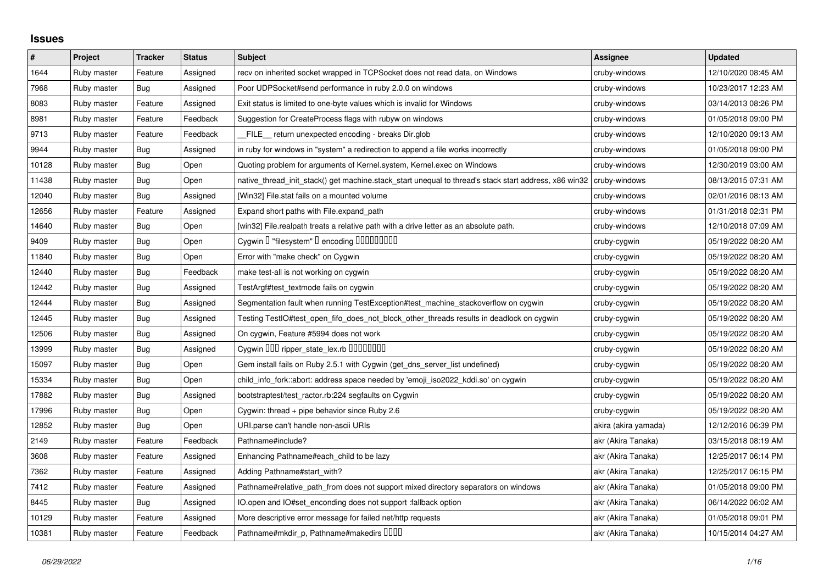## **Issues**

| $\vert$ # | Project     | <b>Tracker</b> | <b>Status</b> | <b>Subject</b>                                                                                        | <b>Assignee</b>      | <b>Updated</b>      |
|-----------|-------------|----------------|---------------|-------------------------------------------------------------------------------------------------------|----------------------|---------------------|
| 1644      | Ruby master | Feature        | Assigned      | recv on inherited socket wrapped in TCPSocket does not read data, on Windows                          | cruby-windows        | 12/10/2020 08:45 AM |
| 7968      | Ruby master | Bug            | Assigned      | Poor UDPSocket#send performance in ruby 2.0.0 on windows                                              | cruby-windows        | 10/23/2017 12:23 AM |
| 8083      | Ruby master | Feature        | Assigned      | Exit status is limited to one-byte values which is invalid for Windows                                | cruby-windows        | 03/14/2013 08:26 PM |
| 8981      | Ruby master | Feature        | Feedback      | Suggestion for CreateProcess flags with rubyw on windows                                              | cruby-windows        | 01/05/2018 09:00 PM |
| 9713      | Ruby master | Feature        | Feedback      | FILE_ return unexpected encoding - breaks Dir.glob                                                    | cruby-windows        | 12/10/2020 09:13 AM |
| 9944      | Ruby master | <b>Bug</b>     | Assigned      | in ruby for windows in "system" a redirection to append a file works incorrectly                      | cruby-windows        | 01/05/2018 09:00 PM |
| 10128     | Ruby master | <b>Bug</b>     | Open          | Quoting problem for arguments of Kernel.system, Kernel.exec on Windows                                | cruby-windows        | 12/30/2019 03:00 AM |
| 11438     | Ruby master | Bug            | Open          | native_thread_init_stack() get machine.stack_start unequal to thread's stack start address, x86 win32 | cruby-windows        | 08/13/2015 07:31 AM |
| 12040     | Ruby master | Bug            | Assigned      | [Win32] File.stat fails on a mounted volume                                                           | cruby-windows        | 02/01/2016 08:13 AM |
| 12656     | Ruby master | Feature        | Assigned      | Expand short paths with File.expand_path                                                              | cruby-windows        | 01/31/2018 02:31 PM |
| 14640     | Ruby master | Bug            | Open          | [win32] File.realpath treats a relative path with a drive letter as an absolute path.                 | cruby-windows        | 12/10/2018 07:09 AM |
| 9409      | Ruby master | <b>Bug</b>     | Open          | Cygwin I "filesystem" I encoding IIIIIIIIIIIII                                                        | cruby-cygwin         | 05/19/2022 08:20 AM |
| 11840     | Ruby master | <b>Bug</b>     | Open          | Error with "make check" on Cygwin                                                                     | cruby-cygwin         | 05/19/2022 08:20 AM |
| 12440     | Ruby master | Bug            | Feedback      | make test-all is not working on cygwin                                                                | cruby-cygwin         | 05/19/2022 08:20 AM |
| 12442     | Ruby master | <b>Bug</b>     | Assigned      | TestArgf#test_textmode fails on cygwin                                                                | cruby-cygwin         | 05/19/2022 08:20 AM |
| 12444     | Ruby master | <b>Bug</b>     | Assigned      | Segmentation fault when running TestException#test_machine_stackoverflow on cygwin                    | cruby-cygwin         | 05/19/2022 08:20 AM |
| 12445     | Ruby master | Bug            | Assigned      | Testing TestIO#test_open_fifo_does_not_block_other_threads results in deadlock on cygwin              | cruby-cygwin         | 05/19/2022 08:20 AM |
| 12506     | Ruby master | <b>Bug</b>     | Assigned      | On cygwin, Feature #5994 does not work                                                                | cruby-cygwin         | 05/19/2022 08:20 AM |
| 13999     | Ruby master | <b>Bug</b>     | Assigned      | Cygwin DDD ripper_state_lex.rb DDDDDDDD                                                               | cruby-cygwin         | 05/19/2022 08:20 AM |
| 15097     | Ruby master | <b>Bug</b>     | Open          | Gem install fails on Ruby 2.5.1 with Cygwin (get_dns_server_list undefined)                           | cruby-cygwin         | 05/19/2022 08:20 AM |
| 15334     | Ruby master | <b>Bug</b>     | Open          | child_info_fork::abort: address space needed by 'emoji_iso2022_kddi.so' on cygwin                     | cruby-cygwin         | 05/19/2022 08:20 AM |
| 17882     | Ruby master | <b>Bug</b>     | Assigned      | bootstraptest/test_ractor.rb:224 segfaults on Cygwin                                                  | cruby-cygwin         | 05/19/2022 08:20 AM |
| 17996     | Ruby master | <b>Bug</b>     | Open          | Cygwin: thread + pipe behavior since Ruby 2.6                                                         | cruby-cygwin         | 05/19/2022 08:20 AM |
| 12852     | Ruby master | <b>Bug</b>     | Open          | URI.parse can't handle non-ascii URIs                                                                 | akira (akira yamada) | 12/12/2016 06:39 PM |
| 2149      | Ruby master | Feature        | Feedback      | Pathname#include?                                                                                     | akr (Akira Tanaka)   | 03/15/2018 08:19 AM |
| 3608      | Ruby master | Feature        | Assigned      | Enhancing Pathname#each_child to be lazy                                                              | akr (Akira Tanaka)   | 12/25/2017 06:14 PM |
| 7362      | Ruby master | Feature        | Assigned      | Adding Pathname#start_with?                                                                           | akr (Akira Tanaka)   | 12/25/2017 06:15 PM |
| 7412      | Ruby master | Feature        | Assigned      | Pathname#relative_path_from does not support mixed directory separators on windows                    | akr (Akira Tanaka)   | 01/05/2018 09:00 PM |
| 8445      | Ruby master | <b>Bug</b>     | Assigned      | IO.open and IO#set_enconding does not support : fallback option                                       | akr (Akira Tanaka)   | 06/14/2022 06:02 AM |
| 10129     | Ruby master | Feature        | Assigned      | More descriptive error message for failed net/http requests                                           | akr (Akira Tanaka)   | 01/05/2018 09:01 PM |
| 10381     | Ruby master | Feature        | Feedback      | Pathname#mkdir_p, Pathname#makedirs IIIII                                                             | akr (Akira Tanaka)   | 10/15/2014 04:27 AM |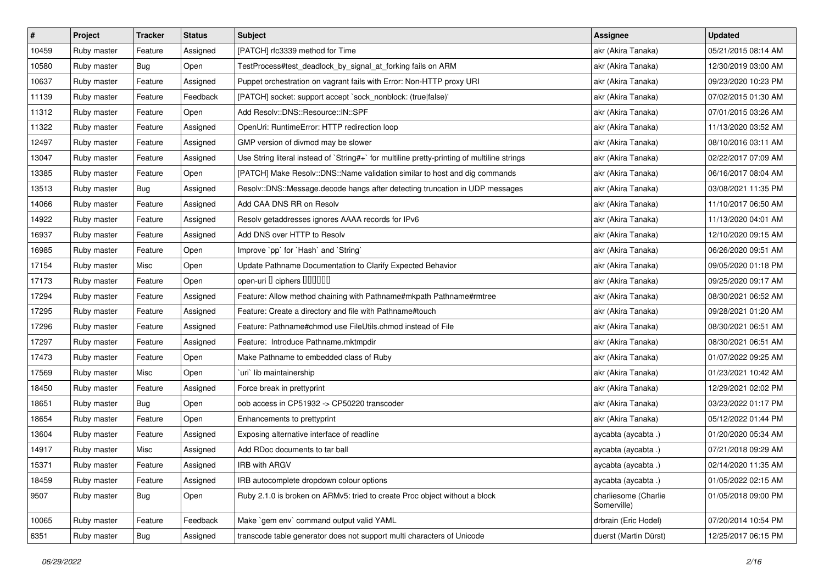| $\vert$ # | Project     | <b>Tracker</b> | <b>Status</b> | <b>Subject</b>                                                                              | <b>Assignee</b>                     | <b>Updated</b>      |
|-----------|-------------|----------------|---------------|---------------------------------------------------------------------------------------------|-------------------------------------|---------------------|
| 10459     | Ruby master | Feature        | Assigned      | [PATCH] rfc3339 method for Time                                                             | akr (Akira Tanaka)                  | 05/21/2015 08:14 AM |
| 10580     | Ruby master | <b>Bug</b>     | Open          | TestProcess#test_deadlock_by_signal_at_forking fails on ARM                                 | akr (Akira Tanaka)                  | 12/30/2019 03:00 AM |
| 10637     | Ruby master | Feature        | Assigned      | Puppet orchestration on vagrant fails with Error: Non-HTTP proxy URI                        | akr (Akira Tanaka)                  | 09/23/2020 10:23 PM |
| 11139     | Ruby master | Feature        | Feedback      | [PATCH] socket: support accept `sock_nonblock: (true false)'                                | akr (Akira Tanaka)                  | 07/02/2015 01:30 AM |
| 11312     | Ruby master | Feature        | Open          | Add Resolv::DNS::Resource::IN::SPF                                                          | akr (Akira Tanaka)                  | 07/01/2015 03:26 AM |
| 11322     | Ruby master | Feature        | Assigned      | OpenUri: RuntimeError: HTTP redirection loop                                                | akr (Akira Tanaka)                  | 11/13/2020 03:52 AM |
| 12497     | Ruby master | Feature        | Assigned      | GMP version of divmod may be slower                                                         | akr (Akira Tanaka)                  | 08/10/2016 03:11 AM |
| 13047     | Ruby master | Feature        | Assigned      | Use String literal instead of `String#+` for multiline pretty-printing of multiline strings | akr (Akira Tanaka)                  | 02/22/2017 07:09 AM |
| 13385     | Ruby master | Feature        | Open          | [PATCH] Make Resolv::DNS::Name validation similar to host and dig commands                  | akr (Akira Tanaka)                  | 06/16/2017 08:04 AM |
| 13513     | Ruby master | Bug            | Assigned      | Resolv::DNS::Message.decode hangs after detecting truncation in UDP messages                | akr (Akira Tanaka)                  | 03/08/2021 11:35 PM |
| 14066     | Ruby master | Feature        | Assigned      | Add CAA DNS RR on Resolv                                                                    | akr (Akira Tanaka)                  | 11/10/2017 06:50 AM |
| 14922     | Ruby master | Feature        | Assigned      | Resolv getaddresses ignores AAAA records for IPv6                                           | akr (Akira Tanaka)                  | 11/13/2020 04:01 AM |
| 16937     | Ruby master | Feature        | Assigned      | Add DNS over HTTP to Resolv                                                                 | akr (Akira Tanaka)                  | 12/10/2020 09:15 AM |
| 16985     | Ruby master | Feature        | Open          | Improve `pp` for `Hash` and `String`                                                        | akr (Akira Tanaka)                  | 06/26/2020 09:51 AM |
| 17154     | Ruby master | Misc           | Open          | Update Pathname Documentation to Clarify Expected Behavior                                  | akr (Akira Tanaka)                  | 09/05/2020 01:18 PM |
| 17173     | Ruby master | Feature        | Open          | open-uri I ciphers IIIIIIII                                                                 | akr (Akira Tanaka)                  | 09/25/2020 09:17 AM |
| 17294     | Ruby master | Feature        | Assigned      | Feature: Allow method chaining with Pathname#mkpath Pathname#rmtree                         | akr (Akira Tanaka)                  | 08/30/2021 06:52 AM |
| 17295     | Ruby master | Feature        | Assigned      | Feature: Create a directory and file with Pathname#touch                                    | akr (Akira Tanaka)                  | 09/28/2021 01:20 AM |
| 17296     | Ruby master | Feature        | Assigned      | Feature: Pathname#chmod use FileUtils.chmod instead of File                                 | akr (Akira Tanaka)                  | 08/30/2021 06:51 AM |
| 17297     | Ruby master | Feature        | Assigned      | Feature: Introduce Pathname.mktmpdir                                                        | akr (Akira Tanaka)                  | 08/30/2021 06:51 AM |
| 17473     | Ruby master | Feature        | Open          | Make Pathname to embedded class of Ruby                                                     | akr (Akira Tanaka)                  | 01/07/2022 09:25 AM |
| 17569     | Ruby master | Misc           | Open          | uri lib maintainership                                                                      | akr (Akira Tanaka)                  | 01/23/2021 10:42 AM |
| 18450     | Ruby master | Feature        | Assigned      | Force break in prettyprint                                                                  | akr (Akira Tanaka)                  | 12/29/2021 02:02 PM |
| 18651     | Ruby master | <b>Bug</b>     | Open          | oob access in CP51932 -> CP50220 transcoder                                                 | akr (Akira Tanaka)                  | 03/23/2022 01:17 PM |
| 18654     | Ruby master | Feature        | Open          | Enhancements to prettyprint                                                                 | akr (Akira Tanaka)                  | 05/12/2022 01:44 PM |
| 13604     | Ruby master | Feature        | Assigned      | Exposing alternative interface of readline                                                  | aycabta (aycabta.)                  | 01/20/2020 05:34 AM |
| 14917     | Ruby master | Misc           | Assigned      | Add RDoc documents to tar ball                                                              | aycabta (aycabta .)                 | 07/21/2018 09:29 AM |
| 15371     | Ruby master | Feature        | Assigned      | IRB with ARGV                                                                               | aycabta (aycabta .)                 | 02/14/2020 11:35 AM |
| 18459     | Ruby master | Feature        | Assigned      | IRB autocomplete dropdown colour options                                                    | aycabta (aycabta .)                 | 01/05/2022 02:15 AM |
| 9507      | Ruby master | Bug            | Open          | Ruby 2.1.0 is broken on ARMv5: tried to create Proc object without a block                  | charliesome (Charlie<br>Somerville) | 01/05/2018 09:00 PM |
| 10065     | Ruby master | Feature        | Feedback      | Make `gem env` command output valid YAML                                                    | drbrain (Eric Hodel)                | 07/20/2014 10:54 PM |
| 6351      | Ruby master | Bug            | Assigned      | transcode table generator does not support multi characters of Unicode                      | duerst (Martin Dürst)               | 12/25/2017 06:15 PM |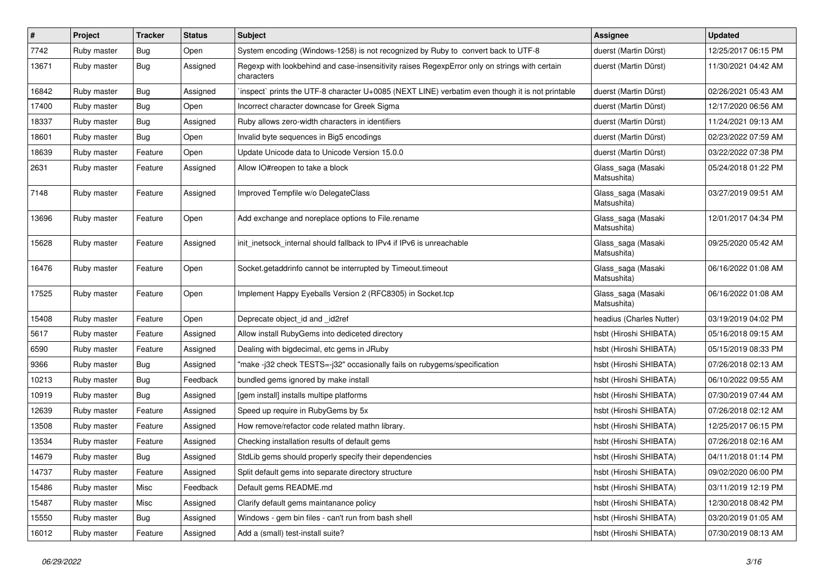| $\vert$ # | Project     | <b>Tracker</b> | <b>Status</b> | <b>Subject</b>                                                                                              | <b>Assignee</b>                   | <b>Updated</b>      |
|-----------|-------------|----------------|---------------|-------------------------------------------------------------------------------------------------------------|-----------------------------------|---------------------|
| 7742      | Ruby master | <b>Bug</b>     | Open          | System encoding (Windows-1258) is not recognized by Ruby to convert back to UTF-8                           | duerst (Martin Dürst)             | 12/25/2017 06:15 PM |
| 13671     | Ruby master | Bug            | Assigned      | Regexp with lookbehind and case-insensitivity raises RegexpError only on strings with certain<br>characters | duerst (Martin Dürst)             | 11/30/2021 04:42 AM |
| 16842     | Ruby master | Bug            | Assigned      | inspect` prints the UTF-8 character U+0085 (NEXT LINE) verbatim even though it is not printable             | duerst (Martin Dürst)             | 02/26/2021 05:43 AM |
| 17400     | Ruby master | Bug            | Open          | Incorrect character downcase for Greek Sigma                                                                | duerst (Martin Dürst)             | 12/17/2020 06:56 AM |
| 18337     | Ruby master | Bug            | Assigned      | Ruby allows zero-width characters in identifiers                                                            | duerst (Martin Dürst)             | 11/24/2021 09:13 AM |
| 18601     | Ruby master | Bug            | Open          | Invalid byte sequences in Big5 encodings                                                                    | duerst (Martin Dürst)             | 02/23/2022 07:59 AM |
| 18639     | Ruby master | Feature        | Open          | Update Unicode data to Unicode Version 15.0.0                                                               | duerst (Martin Dürst)             | 03/22/2022 07:38 PM |
| 2631      | Ruby master | Feature        | Assigned      | Allow IO#reopen to take a block                                                                             | Glass_saga (Masaki<br>Matsushita) | 05/24/2018 01:22 PM |
| 7148      | Ruby master | Feature        | Assigned      | Improved Tempfile w/o DelegateClass                                                                         | Glass_saga (Masaki<br>Matsushita) | 03/27/2019 09:51 AM |
| 13696     | Ruby master | Feature        | Open          | Add exchange and noreplace options to File.rename                                                           | Glass_saga (Masaki<br>Matsushita) | 12/01/2017 04:34 PM |
| 15628     | Ruby master | Feature        | Assigned      | init_inetsock_internal should fallback to IPv4 if IPv6 is unreachable                                       | Glass_saga (Masaki<br>Matsushita) | 09/25/2020 05:42 AM |
| 16476     | Ruby master | Feature        | Open          | Socket.getaddrinfo cannot be interrupted by Timeout.timeout                                                 | Glass_saga (Masaki<br>Matsushita) | 06/16/2022 01:08 AM |
| 17525     | Ruby master | Feature        | Open          | Implement Happy Eyeballs Version 2 (RFC8305) in Socket.tcp                                                  | Glass_saga (Masaki<br>Matsushita) | 06/16/2022 01:08 AM |
| 15408     | Ruby master | Feature        | Open          | Deprecate object_id and _id2ref                                                                             | headius (Charles Nutter)          | 03/19/2019 04:02 PM |
| 5617      | Ruby master | Feature        | Assigned      | Allow install RubyGems into dediceted directory                                                             | hsbt (Hiroshi SHIBATA)            | 05/16/2018 09:15 AM |
| 6590      | Ruby master | Feature        | Assigned      | Dealing with bigdecimal, etc gems in JRuby                                                                  | hsbt (Hiroshi SHIBATA)            | 05/15/2019 08:33 PM |
| 9366      | Ruby master | Bug            | Assigned      | "make -j32 check TESTS=-j32" occasionally fails on rubygems/specification                                   | hsbt (Hiroshi SHIBATA)            | 07/26/2018 02:13 AM |
| 10213     | Ruby master | <b>Bug</b>     | Feedback      | bundled gems ignored by make install                                                                        | hsbt (Hiroshi SHIBATA)            | 06/10/2022 09:55 AM |
| 10919     | Ruby master | <b>Bug</b>     | Assigned      | [gem install] installs multipe platforms                                                                    | hsbt (Hiroshi SHIBATA)            | 07/30/2019 07:44 AM |
| 12639     | Ruby master | Feature        | Assigned      | Speed up require in RubyGems by 5x                                                                          | hsbt (Hiroshi SHIBATA)            | 07/26/2018 02:12 AM |
| 13508     | Ruby master | Feature        | Assigned      | How remove/refactor code related mathn library.                                                             | hsbt (Hiroshi SHIBATA)            | 12/25/2017 06:15 PM |
| 13534     | Ruby master | Feature        | Assigned      | Checking installation results of default gems                                                               | hsbt (Hiroshi SHIBATA)            | 07/26/2018 02:16 AM |
| 14679     | Ruby master | <b>Bug</b>     | Assigned      | StdLib gems should properly specify their dependencies                                                      | hsbt (Hiroshi SHIBATA)            | 04/11/2018 01:14 PM |
| 14737     | Ruby master | Feature        | Assigned      | Split default gems into separate directory structure                                                        | hsbt (Hiroshi SHIBATA)            | 09/02/2020 06:00 PM |
| 15486     | Ruby master | Misc           | Feedback      | Default gems README.md                                                                                      | hsbt (Hiroshi SHIBATA)            | 03/11/2019 12:19 PM |
| 15487     | Ruby master | Misc           | Assigned      | Clarify default gems maintanance policy                                                                     | hsbt (Hiroshi SHIBATA)            | 12/30/2018 08:42 PM |
| 15550     | Ruby master | Bug            | Assigned      | Windows - gem bin files - can't run from bash shell                                                         | hsbt (Hiroshi SHIBATA)            | 03/20/2019 01:05 AM |
| 16012     | Ruby master | Feature        | Assigned      | Add a (small) test-install suite?                                                                           | hsbt (Hiroshi SHIBATA)            | 07/30/2019 08:13 AM |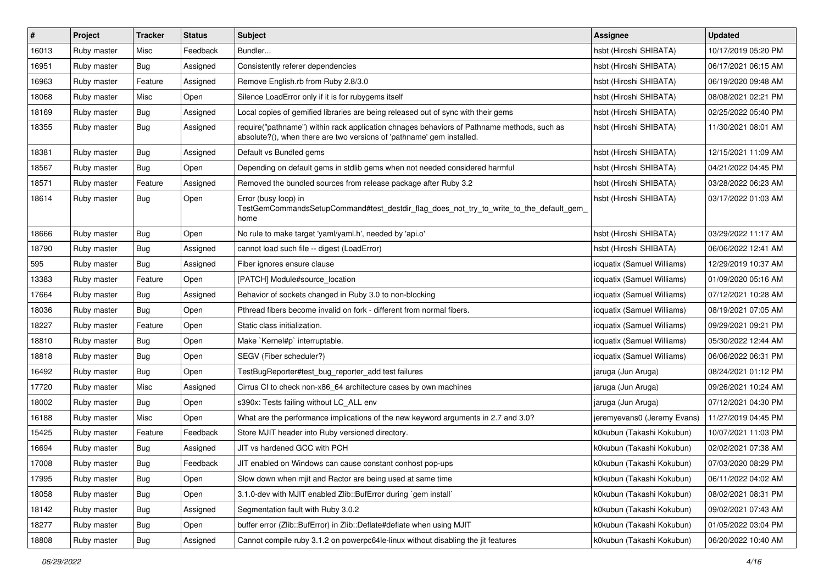| #     | Project     | <b>Tracker</b> | <b>Status</b> | <b>Subject</b>                                                                                                                                                      | <b>Assignee</b>             | <b>Updated</b>      |
|-------|-------------|----------------|---------------|---------------------------------------------------------------------------------------------------------------------------------------------------------------------|-----------------------------|---------------------|
| 16013 | Ruby master | Misc           | Feedback      | Bundler                                                                                                                                                             | hsbt (Hiroshi SHIBATA)      | 10/17/2019 05:20 PM |
| 16951 | Ruby master | Bug            | Assigned      | Consistently referer dependencies                                                                                                                                   | hsbt (Hiroshi SHIBATA)      | 06/17/2021 06:15 AM |
| 16963 | Ruby master | Feature        | Assigned      | Remove English.rb from Ruby 2.8/3.0                                                                                                                                 | hsbt (Hiroshi SHIBATA)      | 06/19/2020 09:48 AM |
| 18068 | Ruby master | Misc           | Open          | Silence LoadError only if it is for rubygems itself                                                                                                                 | hsbt (Hiroshi SHIBATA)      | 08/08/2021 02:21 PM |
| 18169 | Ruby master | <b>Bug</b>     | Assigned      | Local copies of gemified libraries are being released out of sync with their gems                                                                                   | hsbt (Hiroshi SHIBATA)      | 02/25/2022 05:40 PM |
| 18355 | Ruby master | <b>Bug</b>     | Assigned      | require("pathname") within rack application chnages behaviors of Pathname methods, such as<br>absolute?(), when there are two versions of 'pathname' gem installed. | hsbt (Hiroshi SHIBATA)      | 11/30/2021 08:01 AM |
| 18381 | Ruby master | Bug            | Assigned      | Default vs Bundled gems                                                                                                                                             | hsbt (Hiroshi SHIBATA)      | 12/15/2021 11:09 AM |
| 18567 | Ruby master | Bug            | Open          | Depending on default gems in stdlib gems when not needed considered harmful                                                                                         | hsbt (Hiroshi SHIBATA)      | 04/21/2022 04:45 PM |
| 18571 | Ruby master | Feature        | Assigned      | Removed the bundled sources from release package after Ruby 3.2                                                                                                     | hsbt (Hiroshi SHIBATA)      | 03/28/2022 06:23 AM |
| 18614 | Ruby master | Bug            | Open          | Error (busy loop) in<br>TestGemCommandsSetupCommand#test_destdir_flag_does_not_try_to_write_to_the_default_gem_<br>home                                             | hsbt (Hiroshi SHIBATA)      | 03/17/2022 01:03 AM |
| 18666 | Ruby master | Bug            | Open          | No rule to make target 'yaml/yaml.h', needed by 'api.o'                                                                                                             | hsbt (Hiroshi SHIBATA)      | 03/29/2022 11:17 AM |
| 18790 | Ruby master | Bug            | Assigned      | cannot load such file -- digest (LoadError)                                                                                                                         | hsbt (Hiroshi SHIBATA)      | 06/06/2022 12:41 AM |
| 595   | Ruby master | Bug            | Assigned      | Fiber ignores ensure clause                                                                                                                                         | ioquatix (Samuel Williams)  | 12/29/2019 10:37 AM |
| 13383 | Ruby master | Feature        | Open          | [PATCH] Module#source location                                                                                                                                      | ioquatix (Samuel Williams)  | 01/09/2020 05:16 AM |
| 17664 | Ruby master | Bug            | Assigned      | Behavior of sockets changed in Ruby 3.0 to non-blocking                                                                                                             | ioquatix (Samuel Williams)  | 07/12/2021 10:28 AM |
| 18036 | Ruby master | <b>Bug</b>     | Open          | Pthread fibers become invalid on fork - different from normal fibers.                                                                                               | ioquatix (Samuel Williams)  | 08/19/2021 07:05 AM |
| 18227 | Ruby master | Feature        | Open          | Static class initialization.                                                                                                                                        | ioquatix (Samuel Williams)  | 09/29/2021 09:21 PM |
| 18810 | Ruby master | <b>Bug</b>     | Open          | Make `Kernel#p` interruptable.                                                                                                                                      | ioquatix (Samuel Williams)  | 05/30/2022 12:44 AM |
| 18818 | Ruby master | <b>Bug</b>     | Open          | SEGV (Fiber scheduler?)                                                                                                                                             | ioquatix (Samuel Williams)  | 06/06/2022 06:31 PM |
| 16492 | Ruby master | Bug            | Open          | TestBugReporter#test bug reporter add test failures                                                                                                                 | jaruga (Jun Aruga)          | 08/24/2021 01:12 PM |
| 17720 | Ruby master | Misc           | Assigned      | Cirrus CI to check non-x86_64 architecture cases by own machines                                                                                                    | jaruga (Jun Aruga)          | 09/26/2021 10:24 AM |
| 18002 | Ruby master | <b>Bug</b>     | Open          | s390x: Tests failing without LC_ALL env                                                                                                                             | jaruga (Jun Aruga)          | 07/12/2021 04:30 PM |
| 16188 | Ruby master | Misc           | Open          | What are the performance implications of the new keyword arguments in 2.7 and 3.0?                                                                                  | jeremyevans0 (Jeremy Evans) | 11/27/2019 04:45 PM |
| 15425 | Ruby master | Feature        | Feedback      | Store MJIT header into Ruby versioned directory.                                                                                                                    | k0kubun (Takashi Kokubun)   | 10/07/2021 11:03 PM |
| 16694 | Ruby master | <b>Bug</b>     | Assigned      | JIT vs hardened GCC with PCH                                                                                                                                        | k0kubun (Takashi Kokubun)   | 02/02/2021 07:38 AM |
| 17008 | Ruby master | Bug            | Feedback      | JIT enabled on Windows can cause constant conhost pop-ups                                                                                                           | k0kubun (Takashi Kokubun)   | 07/03/2020 08:29 PM |
| 17995 | Ruby master | <b>Bug</b>     | Open          | Slow down when mjit and Ractor are being used at same time                                                                                                          | k0kubun (Takashi Kokubun)   | 06/11/2022 04:02 AM |
| 18058 | Ruby master | Bug            | Open          | 3.1.0-dev with MJIT enabled Zlib::BufError during `gem install`                                                                                                     | k0kubun (Takashi Kokubun)   | 08/02/2021 08:31 PM |
| 18142 | Ruby master | <b>Bug</b>     | Assigned      | Segmentation fault with Ruby 3.0.2                                                                                                                                  | k0kubun (Takashi Kokubun)   | 09/02/2021 07:43 AM |
| 18277 | Ruby master | <b>Bug</b>     | Open          | buffer error (Zlib::BufError) in Zlib::Deflate#deflate when using MJIT                                                                                              | k0kubun (Takashi Kokubun)   | 01/05/2022 03:04 PM |
| 18808 | Ruby master | Bug            | Assigned      | Cannot compile ruby 3.1.2 on powerpc64le-linux without disabling the jit features                                                                                   | k0kubun (Takashi Kokubun)   | 06/20/2022 10:40 AM |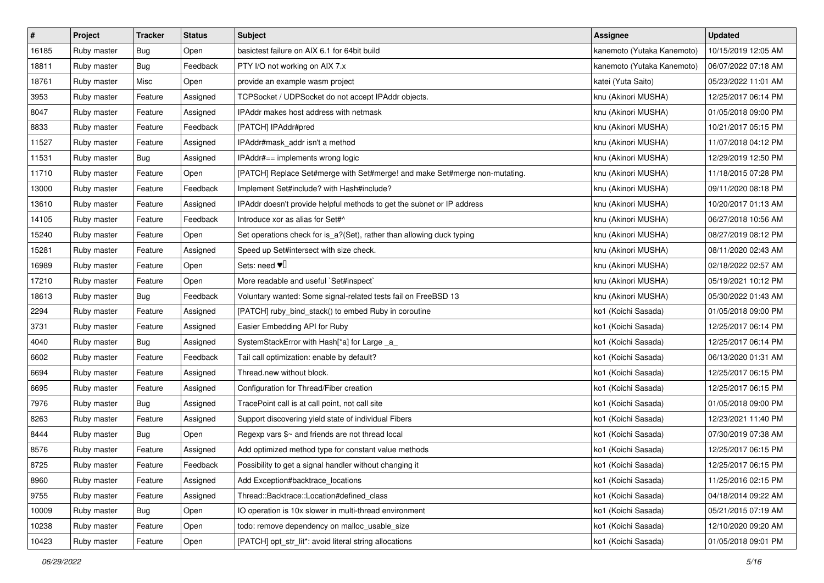| $\pmb{\#}$ | Project     | <b>Tracker</b> | <b>Status</b> | <b>Subject</b>                                                             | <b>Assignee</b>            | <b>Updated</b>      |
|------------|-------------|----------------|---------------|----------------------------------------------------------------------------|----------------------------|---------------------|
| 16185      | Ruby master | <b>Bug</b>     | Open          | basictest failure on AIX 6.1 for 64bit build                               | kanemoto (Yutaka Kanemoto) | 10/15/2019 12:05 AM |
| 18811      | Ruby master | <b>Bug</b>     | Feedback      | PTY I/O not working on AIX 7.x                                             | kanemoto (Yutaka Kanemoto) | 06/07/2022 07:18 AM |
| 18761      | Ruby master | Misc           | Open          | provide an example wasm project                                            | katei (Yuta Saito)         | 05/23/2022 11:01 AM |
| 3953       | Ruby master | Feature        | Assigned      | TCPSocket / UDPSocket do not accept IPAddr objects.                        | knu (Akinori MUSHA)        | 12/25/2017 06:14 PM |
| 8047       | Ruby master | Feature        | Assigned      | IPAddr makes host address with netmask                                     | knu (Akinori MUSHA)        | 01/05/2018 09:00 PM |
| 8833       | Ruby master | Feature        | Feedback      | [PATCH] IPAddr#pred                                                        | knu (Akinori MUSHA)        | 10/21/2017 05:15 PM |
| 11527      | Ruby master | Feature        | Assigned      | IPAddr#mask_addr isn't a method                                            | knu (Akinori MUSHA)        | 11/07/2018 04:12 PM |
| 11531      | Ruby master | Bug            | Assigned      | IPAddr#== implements wrong logic                                           | knu (Akinori MUSHA)        | 12/29/2019 12:50 PM |
| 11710      | Ruby master | Feature        | Open          | [PATCH] Replace Set#merge with Set#merge! and make Set#merge non-mutating. | knu (Akinori MUSHA)        | 11/18/2015 07:28 PM |
| 13000      | Ruby master | Feature        | Feedback      | Implement Set#include? with Hash#include?                                  | knu (Akinori MUSHA)        | 09/11/2020 08:18 PM |
| 13610      | Ruby master | Feature        | Assigned      | IPAddr doesn't provide helpful methods to get the subnet or IP address     | knu (Akinori MUSHA)        | 10/20/2017 01:13 AM |
| 14105      | Ruby master | Feature        | Feedback      | Introduce xor as alias for Set#^                                           | knu (Akinori MUSHA)        | 06/27/2018 10:56 AM |
| 15240      | Ruby master | Feature        | Open          | Set operations check for is_a?(Set), rather than allowing duck typing      | knu (Akinori MUSHA)        | 08/27/2019 08:12 PM |
| 15281      | Ruby master | Feature        | Assigned      | Speed up Set#intersect with size check.                                    | knu (Akinori MUSHA)        | 08/11/2020 02:43 AM |
| 16989      | Ruby master | Feature        | Open          | Sets: need $\Psi$                                                          | knu (Akinori MUSHA)        | 02/18/2022 02:57 AM |
| 17210      | Ruby master | Feature        | Open          | More readable and useful `Set#inspect`                                     | knu (Akinori MUSHA)        | 05/19/2021 10:12 PM |
| 18613      | Ruby master | <b>Bug</b>     | Feedback      | Voluntary wanted: Some signal-related tests fail on FreeBSD 13             | knu (Akinori MUSHA)        | 05/30/2022 01:43 AM |
| 2294       | Ruby master | Feature        | Assigned      | [PATCH] ruby_bind_stack() to embed Ruby in coroutine                       | ko1 (Koichi Sasada)        | 01/05/2018 09:00 PM |
| 3731       | Ruby master | Feature        | Assigned      | Easier Embedding API for Ruby                                              | ko1 (Koichi Sasada)        | 12/25/2017 06:14 PM |
| 4040       | Ruby master | Bug            | Assigned      | SystemStackError with Hash[*a] for Large _a_                               | ko1 (Koichi Sasada)        | 12/25/2017 06:14 PM |
| 6602       | Ruby master | Feature        | Feedback      | Tail call optimization: enable by default?                                 | ko1 (Koichi Sasada)        | 06/13/2020 01:31 AM |
| 6694       | Ruby master | Feature        | Assigned      | Thread.new without block.                                                  | ko1 (Koichi Sasada)        | 12/25/2017 06:15 PM |
| 6695       | Ruby master | Feature        | Assigned      | Configuration for Thread/Fiber creation                                    | ko1 (Koichi Sasada)        | 12/25/2017 06:15 PM |
| 7976       | Ruby master | <b>Bug</b>     | Assigned      | TracePoint call is at call point, not call site                            | ko1 (Koichi Sasada)        | 01/05/2018 09:00 PM |
| 8263       | Ruby master | Feature        | Assigned      | Support discovering yield state of individual Fibers                       | ko1 (Koichi Sasada)        | 12/23/2021 11:40 PM |
| 8444       | Ruby master | Bug            | Open          | Regexp vars \$~ and friends are not thread local                           | ko1 (Koichi Sasada)        | 07/30/2019 07:38 AM |
| 8576       | Ruby master | Feature        | Assigned      | Add optimized method type for constant value methods                       | ko1 (Koichi Sasada)        | 12/25/2017 06:15 PM |
| 8725       | Ruby master | Feature        | Feedback      | Possibility to get a signal handler without changing it                    | ko1 (Koichi Sasada)        | 12/25/2017 06:15 PM |
| 8960       | Ruby master | Feature        | Assigned      | Add Exception#backtrace locations                                          | ko1 (Koichi Sasada)        | 11/25/2016 02:15 PM |
| 9755       | Ruby master | Feature        | Assigned      | Thread::Backtrace::Location#defined_class                                  | ko1 (Koichi Sasada)        | 04/18/2014 09:22 AM |
| 10009      | Ruby master | Bug            | Open          | IO operation is 10x slower in multi-thread environment                     | ko1 (Koichi Sasada)        | 05/21/2015 07:19 AM |
| 10238      | Ruby master | Feature        | Open          | todo: remove dependency on malloc usable size                              | ko1 (Koichi Sasada)        | 12/10/2020 09:20 AM |
| 10423      | Ruby master | Feature        | Open          | [PATCH] opt_str_lit*: avoid literal string allocations                     | ko1 (Koichi Sasada)        | 01/05/2018 09:01 PM |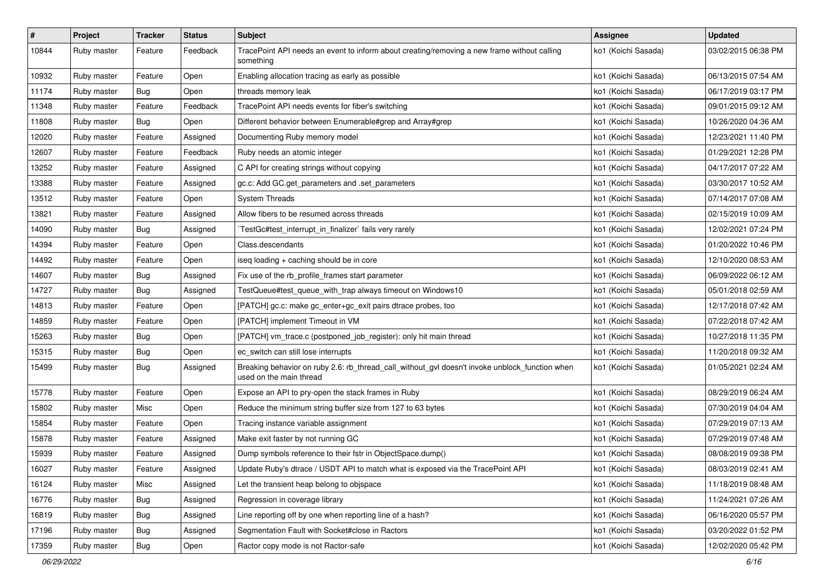| $\pmb{\#}$ | Project     | <b>Tracker</b> | <b>Status</b> | Subject                                                                                                                   | <b>Assignee</b>     | <b>Updated</b>      |
|------------|-------------|----------------|---------------|---------------------------------------------------------------------------------------------------------------------------|---------------------|---------------------|
| 10844      | Ruby master | Feature        | Feedback      | TracePoint API needs an event to inform about creating/removing a new frame without calling<br>something                  | ko1 (Koichi Sasada) | 03/02/2015 06:38 PM |
| 10932      | Ruby master | Feature        | Open          | Enabling allocation tracing as early as possible                                                                          | ko1 (Koichi Sasada) | 06/13/2015 07:54 AM |
| 11174      | Ruby master | Bug            | Open          | threads memory leak                                                                                                       | ko1 (Koichi Sasada) | 06/17/2019 03:17 PM |
| 11348      | Ruby master | Feature        | Feedback      | TracePoint API needs events for fiber's switching                                                                         | ko1 (Koichi Sasada) | 09/01/2015 09:12 AM |
| 11808      | Ruby master | Bug            | Open          | Different behavior between Enumerable#grep and Array#grep                                                                 | ko1 (Koichi Sasada) | 10/26/2020 04:36 AM |
| 12020      | Ruby master | Feature        | Assigned      | Documenting Ruby memory model                                                                                             | ko1 (Koichi Sasada) | 12/23/2021 11:40 PM |
| 12607      | Ruby master | Feature        | Feedback      | Ruby needs an atomic integer                                                                                              | ko1 (Koichi Sasada) | 01/29/2021 12:28 PM |
| 13252      | Ruby master | Feature        | Assigned      | C API for creating strings without copying                                                                                | ko1 (Koichi Sasada) | 04/17/2017 07:22 AM |
| 13388      | Ruby master | Feature        | Assigned      | gc.c: Add GC.get_parameters and .set_parameters                                                                           | ko1 (Koichi Sasada) | 03/30/2017 10:52 AM |
| 13512      | Ruby master | Feature        | Open          | <b>System Threads</b>                                                                                                     | ko1 (Koichi Sasada) | 07/14/2017 07:08 AM |
| 13821      | Ruby master | Feature        | Assigned      | Allow fibers to be resumed across threads                                                                                 | ko1 (Koichi Sasada) | 02/15/2019 10:09 AM |
| 14090      | Ruby master | Bug            | Assigned      | TestGc#test_interrupt_in_finalizer` fails very rarely                                                                     | ko1 (Koichi Sasada) | 12/02/2021 07:24 PM |
| 14394      | Ruby master | Feature        | Open          | Class.descendants                                                                                                         | ko1 (Koichi Sasada) | 01/20/2022 10:46 PM |
| 14492      | Ruby master | Feature        | Open          | iseq loading + caching should be in core                                                                                  | ko1 (Koichi Sasada) | 12/10/2020 08:53 AM |
| 14607      | Ruby master | Bug            | Assigned      | Fix use of the rb_profile_frames start parameter                                                                          | ko1 (Koichi Sasada) | 06/09/2022 06:12 AM |
| 14727      | Ruby master | <b>Bug</b>     | Assigned      | TestQueue#test_queue_with_trap always timeout on Windows10                                                                | ko1 (Koichi Sasada) | 05/01/2018 02:59 AM |
| 14813      | Ruby master | Feature        | Open          | [PATCH] gc.c: make gc_enter+gc_exit pairs dtrace probes, too                                                              | ko1 (Koichi Sasada) | 12/17/2018 07:42 AM |
| 14859      | Ruby master | Feature        | Open          | [PATCH] implement Timeout in VM                                                                                           | ko1 (Koichi Sasada) | 07/22/2018 07:42 AM |
| 15263      | Ruby master | <b>Bug</b>     | Open          | [PATCH] vm_trace.c (postponed_job_register): only hit main thread                                                         | ko1 (Koichi Sasada) | 10/27/2018 11:35 PM |
| 15315      | Ruby master | Bug            | Open          | ec_switch can still lose interrupts                                                                                       | ko1 (Koichi Sasada) | 11/20/2018 09:32 AM |
| 15499      | Ruby master | Bug            | Assigned      | Breaking behavior on ruby 2.6: rb_thread_call_without_gvl doesn't invoke unblock_function when<br>used on the main thread | ko1 (Koichi Sasada) | 01/05/2021 02:24 AM |
| 15778      | Ruby master | Feature        | Open          | Expose an API to pry-open the stack frames in Ruby                                                                        | ko1 (Koichi Sasada) | 08/29/2019 06:24 AM |
| 15802      | Ruby master | Misc           | Open          | Reduce the minimum string buffer size from 127 to 63 bytes                                                                | ko1 (Koichi Sasada) | 07/30/2019 04:04 AM |
| 15854      | Ruby master | Feature        | Open          | Tracing instance variable assignment                                                                                      | ko1 (Koichi Sasada) | 07/29/2019 07:13 AM |
| 15878      | Ruby master | Feature        | Assigned      | Make exit faster by not running GC                                                                                        | ko1 (Koichi Sasada) | 07/29/2019 07:48 AM |
| 15939      | Ruby master | Feature        | Assigned      | Dump symbols reference to their fstr in ObjectSpace.dump()                                                                | ko1 (Koichi Sasada) | 08/08/2019 09:38 PM |
| 16027      | Ruby master | Feature        | Assigned      | Update Ruby's dtrace / USDT API to match what is exposed via the TracePoint API                                           | ko1 (Koichi Sasada) | 08/03/2019 02:41 AM |
| 16124      | Ruby master | Misc           | Assigned      | Let the transient heap belong to objspace                                                                                 | ko1 (Koichi Sasada) | 11/18/2019 08:48 AM |
| 16776      | Ruby master | <b>Bug</b>     | Assigned      | Regression in coverage library                                                                                            | ko1 (Koichi Sasada) | 11/24/2021 07:26 AM |
| 16819      | Ruby master | Bug            | Assigned      | Line reporting off by one when reporting line of a hash?                                                                  | ko1 (Koichi Sasada) | 06/16/2020 05:57 PM |
| 17196      | Ruby master | <b>Bug</b>     | Assigned      | Segmentation Fault with Socket#close in Ractors                                                                           | ko1 (Koichi Sasada) | 03/20/2022 01:52 PM |
| 17359      | Ruby master | <b>Bug</b>     | Open          | Ractor copy mode is not Ractor-safe                                                                                       | ko1 (Koichi Sasada) | 12/02/2020 05:42 PM |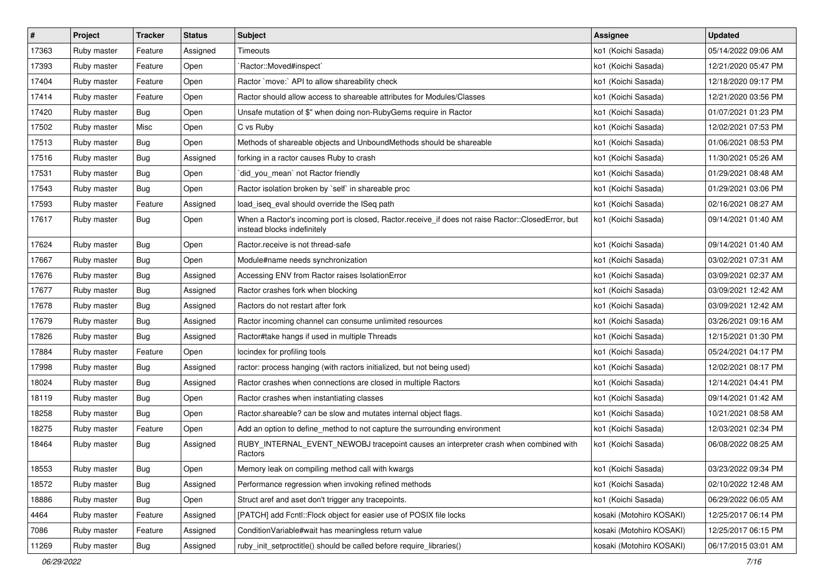| $\vert$ # | Project     | <b>Tracker</b> | <b>Status</b> | Subject                                                                                                                           | <b>Assignee</b>          | <b>Updated</b>      |
|-----------|-------------|----------------|---------------|-----------------------------------------------------------------------------------------------------------------------------------|--------------------------|---------------------|
| 17363     | Ruby master | Feature        | Assigned      | Timeouts                                                                                                                          | ko1 (Koichi Sasada)      | 05/14/2022 09:06 AM |
| 17393     | Ruby master | Feature        | Open          | Ractor::Moved#inspect`                                                                                                            | ko1 (Koichi Sasada)      | 12/21/2020 05:47 PM |
| 17404     | Ruby master | Feature        | Open          | Ractor `move:` API to allow shareability check                                                                                    | ko1 (Koichi Sasada)      | 12/18/2020 09:17 PM |
| 17414     | Ruby master | Feature        | Open          | Ractor should allow access to shareable attributes for Modules/Classes                                                            | ko1 (Koichi Sasada)      | 12/21/2020 03:56 PM |
| 17420     | Ruby master | <b>Bug</b>     | Open          | Unsafe mutation of \$" when doing non-RubyGems require in Ractor                                                                  | ko1 (Koichi Sasada)      | 01/07/2021 01:23 PM |
| 17502     | Ruby master | Misc           | Open          | C vs Ruby                                                                                                                         | ko1 (Koichi Sasada)      | 12/02/2021 07:53 PM |
| 17513     | Ruby master | Bug            | Open          | Methods of shareable objects and UnboundMethods should be shareable                                                               | ko1 (Koichi Sasada)      | 01/06/2021 08:53 PM |
| 17516     | Ruby master | <b>Bug</b>     | Assigned      | forking in a ractor causes Ruby to crash                                                                                          | ko1 (Koichi Sasada)      | 11/30/2021 05:26 AM |
| 17531     | Ruby master | Bug            | Open          | did_you_mean' not Ractor friendly                                                                                                 | ko1 (Koichi Sasada)      | 01/29/2021 08:48 AM |
| 17543     | Ruby master | Bug            | Open          | Ractor isolation broken by `self` in shareable proc                                                                               | ko1 (Koichi Sasada)      | 01/29/2021 03:06 PM |
| 17593     | Ruby master | Feature        | Assigned      | load_iseq_eval should override the ISeq path                                                                                      | ko1 (Koichi Sasada)      | 02/16/2021 08:27 AM |
| 17617     | Ruby master | <b>Bug</b>     | Open          | When a Ractor's incoming port is closed, Ractor.receive_if does not raise Ractor::ClosedError, but<br>instead blocks indefinitely | ko1 (Koichi Sasada)      | 09/14/2021 01:40 AM |
| 17624     | Ruby master | Bug            | Open          | Ractor.receive is not thread-safe                                                                                                 | ko1 (Koichi Sasada)      | 09/14/2021 01:40 AM |
| 17667     | Ruby master | Bug            | Open          | Module#name needs synchronization                                                                                                 | ko1 (Koichi Sasada)      | 03/02/2021 07:31 AM |
| 17676     | Ruby master | <b>Bug</b>     | Assigned      | Accessing ENV from Ractor raises IsolationError                                                                                   | ko1 (Koichi Sasada)      | 03/09/2021 02:37 AM |
| 17677     | Ruby master | <b>Bug</b>     | Assigned      | Ractor crashes fork when blocking                                                                                                 | ko1 (Koichi Sasada)      | 03/09/2021 12:42 AM |
| 17678     | Ruby master | <b>Bug</b>     | Assigned      | Ractors do not restart after fork                                                                                                 | ko1 (Koichi Sasada)      | 03/09/2021 12:42 AM |
| 17679     | Ruby master | Bug            | Assigned      | Ractor incoming channel can consume unlimited resources                                                                           | ko1 (Koichi Sasada)      | 03/26/2021 09:16 AM |
| 17826     | Ruby master | <b>Bug</b>     | Assigned      | Ractor#take hangs if used in multiple Threads                                                                                     | ko1 (Koichi Sasada)      | 12/15/2021 01:30 PM |
| 17884     | Ruby master | Feature        | Open          | locindex for profiling tools                                                                                                      | ko1 (Koichi Sasada)      | 05/24/2021 04:17 PM |
| 17998     | Ruby master | Bug            | Assigned      | ractor: process hanging (with ractors initialized, but not being used)                                                            | ko1 (Koichi Sasada)      | 12/02/2021 08:17 PM |
| 18024     | Ruby master | Bug            | Assigned      | Ractor crashes when connections are closed in multiple Ractors                                                                    | ko1 (Koichi Sasada)      | 12/14/2021 04:41 PM |
| 18119     | Ruby master | Bug            | Open          | Ractor crashes when instantiating classes                                                                                         | ko1 (Koichi Sasada)      | 09/14/2021 01:42 AM |
| 18258     | Ruby master | <b>Bug</b>     | Open          | Ractor.shareable? can be slow and mutates internal object flags.                                                                  | ko1 (Koichi Sasada)      | 10/21/2021 08:58 AM |
| 18275     | Ruby master | Feature        | Open          | Add an option to define_method to not capture the surrounding environment                                                         | ko1 (Koichi Sasada)      | 12/03/2021 02:34 PM |
| 18464     | Ruby master | <b>Bug</b>     | Assigned      | RUBY_INTERNAL_EVENT_NEWOBJ tracepoint causes an interpreter crash when combined with<br>Ractors                                   | ko1 (Koichi Sasada)      | 06/08/2022 08:25 AM |
| 18553     | Ruby master | Bug            | Open          | Memory leak on compiling method call with kwargs                                                                                  | ko1 (Koichi Sasada)      | 03/23/2022 09:34 PM |
| 18572     | Ruby master | <b>Bug</b>     | Assigned      | Performance regression when invoking refined methods                                                                              | ko1 (Koichi Sasada)      | 02/10/2022 12:48 AM |
| 18886     | Ruby master | <b>Bug</b>     | Open          | Struct aref and aset don't trigger any tracepoints.                                                                               | ko1 (Koichi Sasada)      | 06/29/2022 06:05 AM |
| 4464      | Ruby master | Feature        | Assigned      | [PATCH] add Fcntl::Flock object for easier use of POSIX file locks                                                                | kosaki (Motohiro KOSAKI) | 12/25/2017 06:14 PM |
| 7086      | Ruby master | Feature        | Assigned      | ConditionVariable#wait has meaningless return value                                                                               | kosaki (Motohiro KOSAKI) | 12/25/2017 06:15 PM |
| 11269     | Ruby master | Bug            | Assigned      | ruby_init_setproctitle() should be called before require_libraries()                                                              | kosaki (Motohiro KOSAKI) | 06/17/2015 03:01 AM |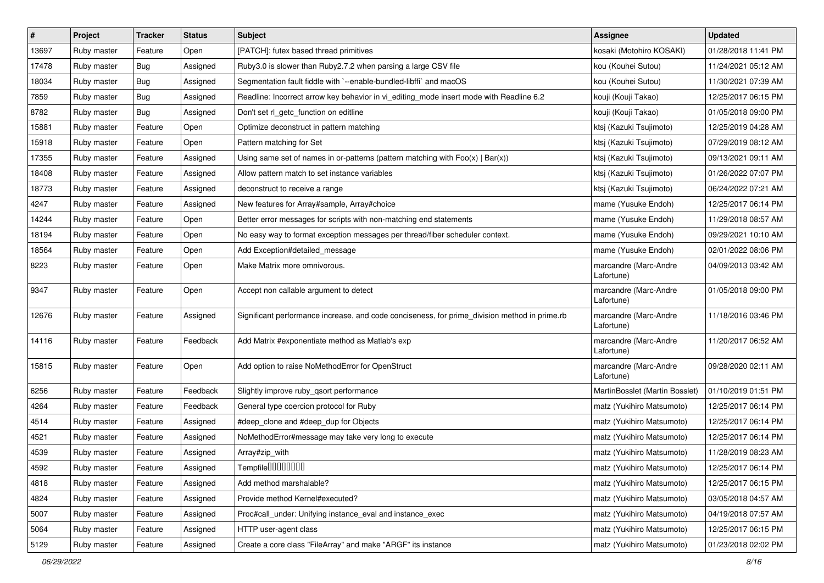| #     | Project     | <b>Tracker</b> | <b>Status</b> | Subject                                                                                       | <b>Assignee</b>                     | <b>Updated</b>      |
|-------|-------------|----------------|---------------|-----------------------------------------------------------------------------------------------|-------------------------------------|---------------------|
| 13697 | Ruby master | Feature        | Open          | [PATCH]: futex based thread primitives                                                        | kosaki (Motohiro KOSAKI)            | 01/28/2018 11:41 PM |
| 17478 | Ruby master | <b>Bug</b>     | Assigned      | Ruby3.0 is slower than Ruby2.7.2 when parsing a large CSV file                                | kou (Kouhei Sutou)                  | 11/24/2021 05:12 AM |
| 18034 | Ruby master | Bug            | Assigned      | Segmentation fault fiddle with `--enable-bundled-libffi` and macOS                            | kou (Kouhei Sutou)                  | 11/30/2021 07:39 AM |
| 7859  | Ruby master | <b>Bug</b>     | Assigned      | Readline: Incorrect arrow key behavior in vi_editing_mode insert mode with Readline 6.2       | kouji (Kouji Takao)                 | 12/25/2017 06:15 PM |
| 8782  | Ruby master | Bug            | Assigned      | Don't set rl_getc_function on editline                                                        | kouji (Kouji Takao)                 | 01/05/2018 09:00 PM |
| 15881 | Ruby master | Feature        | Open          | Optimize deconstruct in pattern matching                                                      | ktsj (Kazuki Tsujimoto)             | 12/25/2019 04:28 AM |
| 15918 | Ruby master | Feature        | Open          | Pattern matching for Set                                                                      | ktsj (Kazuki Tsujimoto)             | 07/29/2019 08:12 AM |
| 17355 | Ruby master | Feature        | Assigned      | Using same set of names in or-patterns (pattern matching with $Foo(x)   Bar(x)$ )             | ktsj (Kazuki Tsujimoto)             | 09/13/2021 09:11 AM |
| 18408 | Ruby master | Feature        | Assigned      | Allow pattern match to set instance variables                                                 | ktsj (Kazuki Tsujimoto)             | 01/26/2022 07:07 PM |
| 18773 | Ruby master | Feature        | Assigned      | deconstruct to receive a range                                                                | ktsj (Kazuki Tsujimoto)             | 06/24/2022 07:21 AM |
| 4247  | Ruby master | Feature        | Assigned      | New features for Array#sample, Array#choice                                                   | mame (Yusuke Endoh)                 | 12/25/2017 06:14 PM |
| 14244 | Ruby master | Feature        | Open          | Better error messages for scripts with non-matching end statements                            | mame (Yusuke Endoh)                 | 11/29/2018 08:57 AM |
| 18194 | Ruby master | Feature        | Open          | No easy way to format exception messages per thread/fiber scheduler context.                  | mame (Yusuke Endoh)                 | 09/29/2021 10:10 AM |
| 18564 | Ruby master | Feature        | Open          | Add Exception#detailed_message                                                                | mame (Yusuke Endoh)                 | 02/01/2022 08:06 PM |
| 8223  | Ruby master | Feature        | Open          | Make Matrix more omnivorous.                                                                  | marcandre (Marc-Andre<br>Lafortune) | 04/09/2013 03:42 AM |
| 9347  | Ruby master | Feature        | Open          | Accept non callable argument to detect                                                        | marcandre (Marc-Andre<br>Lafortune) | 01/05/2018 09:00 PM |
| 12676 | Ruby master | Feature        | Assigned      | Significant performance increase, and code conciseness, for prime_division method in prime.rb | marcandre (Marc-Andre<br>Lafortune) | 11/18/2016 03:46 PM |
| 14116 | Ruby master | Feature        | Feedback      | Add Matrix #exponentiate method as Matlab's exp                                               | marcandre (Marc-Andre<br>Lafortune) | 11/20/2017 06:52 AM |
| 15815 | Ruby master | Feature        | Open          | Add option to raise NoMethodError for OpenStruct                                              | marcandre (Marc-Andre<br>Lafortune) | 09/28/2020 02:11 AM |
| 6256  | Ruby master | Feature        | Feedback      | Slightly improve ruby_qsort performance                                                       | MartinBosslet (Martin Bosslet)      | 01/10/2019 01:51 PM |
| 4264  | Ruby master | Feature        | Feedback      | General type coercion protocol for Ruby                                                       | matz (Yukihiro Matsumoto)           | 12/25/2017 06:14 PM |
| 4514  | Ruby master | Feature        | Assigned      | #deep_clone and #deep_dup for Objects                                                         | matz (Yukihiro Matsumoto)           | 12/25/2017 06:14 PM |
| 4521  | Ruby master | Feature        | Assigned      | NoMethodError#message may take very long to execute                                           | matz (Yukihiro Matsumoto)           | 12/25/2017 06:14 PM |
| 4539  | Ruby master | Feature        | Assigned      | Array#zip_with                                                                                | matz (Yukihiro Matsumoto)           | 11/28/2019 08:23 AM |
| 4592  | Ruby master | Feature        | Assigned      | Tempfile0000000                                                                               | matz (Yukihiro Matsumoto)           | 12/25/2017 06:14 PM |
| 4818  | Ruby master | Feature        | Assigned      | Add method marshalable?                                                                       | matz (Yukihiro Matsumoto)           | 12/25/2017 06:15 PM |
| 4824  | Ruby master | Feature        | Assigned      | Provide method Kernel#executed?                                                               | matz (Yukihiro Matsumoto)           | 03/05/2018 04:57 AM |
| 5007  | Ruby master | Feature        | Assigned      | Proc#call_under: Unifying instance_eval and instance_exec                                     | matz (Yukihiro Matsumoto)           | 04/19/2018 07:57 AM |
| 5064  | Ruby master | Feature        | Assigned      | HTTP user-agent class                                                                         | matz (Yukihiro Matsumoto)           | 12/25/2017 06:15 PM |
| 5129  | Ruby master | Feature        | Assigned      | Create a core class "FileArray" and make "ARGF" its instance                                  | matz (Yukihiro Matsumoto)           | 01/23/2018 02:02 PM |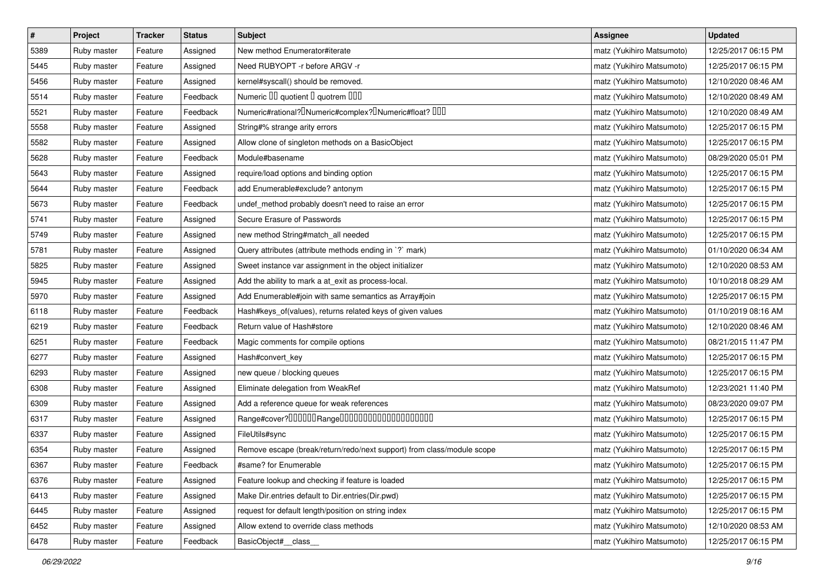| $\vert$ # | Project     | <b>Tracker</b> | <b>Status</b> | <b>Subject</b>                                                                                | <b>Assignee</b>           | <b>Updated</b>      |
|-----------|-------------|----------------|---------------|-----------------------------------------------------------------------------------------------|---------------------------|---------------------|
| 5389      | Ruby master | Feature        | Assigned      | New method Enumerator#iterate                                                                 | matz (Yukihiro Matsumoto) | 12/25/2017 06:15 PM |
| 5445      | Ruby master | Feature        | Assigned      | Need RUBYOPT -r before ARGV -r                                                                | matz (Yukihiro Matsumoto) | 12/25/2017 06:15 PM |
| 5456      | Ruby master | Feature        | Assigned      | kernel#syscall() should be removed.                                                           | matz (Yukihiro Matsumoto) | 12/10/2020 08:46 AM |
| 5514      | Ruby master | Feature        | Feedback      | Numeric III quotient I quotrem IIII                                                           | matz (Yukihiro Matsumoto) | 12/10/2020 08:49 AM |
| 5521      | Ruby master | Feature        | Feedback      | Numeric#rational? <sup>[]</sup> Numeric#complex? <sup>[]</sup> Numeric#float? <sup>[10]</sup> | matz (Yukihiro Matsumoto) | 12/10/2020 08:49 AM |
| 5558      | Ruby master | Feature        | Assigned      | String#% strange arity errors                                                                 | matz (Yukihiro Matsumoto) | 12/25/2017 06:15 PM |
| 5582      | Ruby master | Feature        | Assigned      | Allow clone of singleton methods on a BasicObject                                             | matz (Yukihiro Matsumoto) | 12/25/2017 06:15 PM |
| 5628      | Ruby master | Feature        | Feedback      | Module#basename                                                                               | matz (Yukihiro Matsumoto) | 08/29/2020 05:01 PM |
| 5643      | Ruby master | Feature        | Assigned      | require/load options and binding option                                                       | matz (Yukihiro Matsumoto) | 12/25/2017 06:15 PM |
| 5644      | Ruby master | Feature        | Feedback      | add Enumerable#exclude? antonym                                                               | matz (Yukihiro Matsumoto) | 12/25/2017 06:15 PM |
| 5673      | Ruby master | Feature        | Feedback      | undef_method probably doesn't need to raise an error                                          | matz (Yukihiro Matsumoto) | 12/25/2017 06:15 PM |
| 5741      | Ruby master | Feature        | Assigned      | Secure Erasure of Passwords                                                                   | matz (Yukihiro Matsumoto) | 12/25/2017 06:15 PM |
| 5749      | Ruby master | Feature        | Assigned      | new method String#match_all needed                                                            | matz (Yukihiro Matsumoto) | 12/25/2017 06:15 PM |
| 5781      | Ruby master | Feature        | Assigned      | Query attributes (attribute methods ending in `?` mark)                                       | matz (Yukihiro Matsumoto) | 01/10/2020 06:34 AM |
| 5825      | Ruby master | Feature        | Assigned      | Sweet instance var assignment in the object initializer                                       | matz (Yukihiro Matsumoto) | 12/10/2020 08:53 AM |
| 5945      | Ruby master | Feature        | Assigned      | Add the ability to mark a at_exit as process-local.                                           | matz (Yukihiro Matsumoto) | 10/10/2018 08:29 AM |
| 5970      | Ruby master | Feature        | Assigned      | Add Enumerable#join with same semantics as Array#join                                         | matz (Yukihiro Matsumoto) | 12/25/2017 06:15 PM |
| 6118      | Ruby master | Feature        | Feedback      | Hash#keys_of(values), returns related keys of given values                                    | matz (Yukihiro Matsumoto) | 01/10/2019 08:16 AM |
| 6219      | Ruby master | Feature        | Feedback      | Return value of Hash#store                                                                    | matz (Yukihiro Matsumoto) | 12/10/2020 08:46 AM |
| 6251      | Ruby master | Feature        | Feedback      | Magic comments for compile options                                                            | matz (Yukihiro Matsumoto) | 08/21/2015 11:47 PM |
| 6277      | Ruby master | Feature        | Assigned      | Hash#convert_key                                                                              | matz (Yukihiro Matsumoto) | 12/25/2017 06:15 PM |
| 6293      | Ruby master | Feature        | Assigned      | new queue / blocking queues                                                                   | matz (Yukihiro Matsumoto) | 12/25/2017 06:15 PM |
| 6308      | Ruby master | Feature        | Assigned      | Eliminate delegation from WeakRef                                                             | matz (Yukihiro Matsumoto) | 12/23/2021 11:40 PM |
| 6309      | Ruby master | Feature        | Assigned      | Add a reference queue for weak references                                                     | matz (Yukihiro Matsumoto) | 08/23/2020 09:07 PM |
| 6317      | Ruby master | Feature        | Assigned      | Range#cover?000000Range00000000000000000000                                                   | matz (Yukihiro Matsumoto) | 12/25/2017 06:15 PM |
| 6337      | Ruby master | Feature        | Assigned      | FileUtils#sync                                                                                | matz (Yukihiro Matsumoto) | 12/25/2017 06:15 PM |
| 6354      | Ruby master | Feature        | Assigned      | Remove escape (break/return/redo/next support) from class/module scope                        | matz (Yukihiro Matsumoto) | 12/25/2017 06:15 PM |
| 6367      | Ruby master | Feature        | Feedback      | #same? for Enumerable                                                                         | matz (Yukihiro Matsumoto) | 12/25/2017 06:15 PM |
| 6376      | Ruby master | Feature        | Assigned      | Feature lookup and checking if feature is loaded                                              | matz (Yukihiro Matsumoto) | 12/25/2017 06:15 PM |
| 6413      | Ruby master | Feature        | Assigned      | Make Dir.entries default to Dir.entries(Dir.pwd)                                              | matz (Yukihiro Matsumoto) | 12/25/2017 06:15 PM |
| 6445      | Ruby master | Feature        | Assigned      | request for default length/position on string index                                           | matz (Yukihiro Matsumoto) | 12/25/2017 06:15 PM |
| 6452      | Ruby master | Feature        | Assigned      | Allow extend to override class methods                                                        | matz (Yukihiro Matsumoto) | 12/10/2020 08:53 AM |
| 6478      | Ruby master | Feature        | Feedback      | BasicObject#_class_                                                                           | matz (Yukihiro Matsumoto) | 12/25/2017 06:15 PM |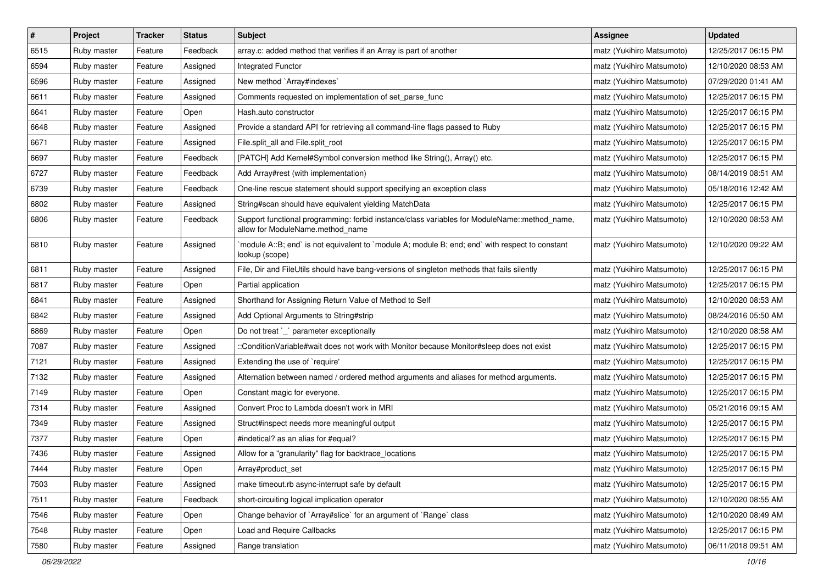| $\pmb{\#}$ | Project     | <b>Tracker</b> | <b>Status</b> | Subject                                                                                                                          | <b>Assignee</b>           | <b>Updated</b>      |
|------------|-------------|----------------|---------------|----------------------------------------------------------------------------------------------------------------------------------|---------------------------|---------------------|
| 6515       | Ruby master | Feature        | Feedback      | array.c: added method that verifies if an Array is part of another                                                               | matz (Yukihiro Matsumoto) | 12/25/2017 06:15 PM |
| 6594       | Ruby master | Feature        | Assigned      | Integrated Functor                                                                                                               | matz (Yukihiro Matsumoto) | 12/10/2020 08:53 AM |
| 6596       | Ruby master | Feature        | Assigned      | New method `Array#indexes`                                                                                                       | matz (Yukihiro Matsumoto) | 07/29/2020 01:41 AM |
| 6611       | Ruby master | Feature        | Assigned      | Comments requested on implementation of set_parse_func                                                                           | matz (Yukihiro Matsumoto) | 12/25/2017 06:15 PM |
| 6641       | Ruby master | Feature        | Open          | Hash.auto constructor                                                                                                            | matz (Yukihiro Matsumoto) | 12/25/2017 06:15 PM |
| 6648       | Ruby master | Feature        | Assigned      | Provide a standard API for retrieving all command-line flags passed to Ruby                                                      | matz (Yukihiro Matsumoto) | 12/25/2017 06:15 PM |
| 6671       | Ruby master | Feature        | Assigned      | File.split_all and File.split_root                                                                                               | matz (Yukihiro Matsumoto) | 12/25/2017 06:15 PM |
| 6697       | Ruby master | Feature        | Feedback      | [PATCH] Add Kernel#Symbol conversion method like String(), Array() etc.                                                          | matz (Yukihiro Matsumoto) | 12/25/2017 06:15 PM |
| 6727       | Ruby master | Feature        | Feedback      | Add Array#rest (with implementation)                                                                                             | matz (Yukihiro Matsumoto) | 08/14/2019 08:51 AM |
| 6739       | Ruby master | Feature        | Feedback      | One-line rescue statement should support specifying an exception class                                                           | matz (Yukihiro Matsumoto) | 05/18/2016 12:42 AM |
| 6802       | Ruby master | Feature        | Assigned      | String#scan should have equivalent yielding MatchData                                                                            | matz (Yukihiro Matsumoto) | 12/25/2017 06:15 PM |
| 6806       | Ruby master | Feature        | Feedback      | Support functional programming: forbid instance/class variables for ModuleName::method_name,<br>allow for ModuleName.method_name | matz (Yukihiro Matsumoto) | 12/10/2020 08:53 AM |
| 6810       | Ruby master | Feature        | Assigned      | module A::B; end` is not equivalent to `module A; module B; end; end` with respect to constant<br>lookup (scope)                 | matz (Yukihiro Matsumoto) | 12/10/2020 09:22 AM |
| 6811       | Ruby master | Feature        | Assigned      | File, Dir and FileUtils should have bang-versions of singleton methods that fails silently                                       | matz (Yukihiro Matsumoto) | 12/25/2017 06:15 PM |
| 6817       | Ruby master | Feature        | Open          | Partial application                                                                                                              | matz (Yukihiro Matsumoto) | 12/25/2017 06:15 PM |
| 6841       | Ruby master | Feature        | Assigned      | Shorthand for Assigning Return Value of Method to Self                                                                           | matz (Yukihiro Matsumoto) | 12/10/2020 08:53 AM |
| 6842       | Ruby master | Feature        | Assigned      | Add Optional Arguments to String#strip                                                                                           | matz (Yukihiro Matsumoto) | 08/24/2016 05:50 AM |
| 6869       | Ruby master | Feature        | Open          | Do not treat `_` parameter exceptionally                                                                                         | matz (Yukihiro Matsumoto) | 12/10/2020 08:58 AM |
| 7087       | Ruby master | Feature        | Assigned      | ::ConditionVariable#wait does not work with Monitor because Monitor#sleep does not exist                                         | matz (Yukihiro Matsumoto) | 12/25/2017 06:15 PM |
| 7121       | Ruby master | Feature        | Assigned      | Extending the use of `require'                                                                                                   | matz (Yukihiro Matsumoto) | 12/25/2017 06:15 PM |
| 7132       | Ruby master | Feature        | Assigned      | Alternation between named / ordered method arguments and aliases for method arguments.                                           | matz (Yukihiro Matsumoto) | 12/25/2017 06:15 PM |
| 7149       | Ruby master | Feature        | Open          | Constant magic for everyone.                                                                                                     | matz (Yukihiro Matsumoto) | 12/25/2017 06:15 PM |
| 7314       | Ruby master | Feature        | Assigned      | Convert Proc to Lambda doesn't work in MRI                                                                                       | matz (Yukihiro Matsumoto) | 05/21/2016 09:15 AM |
| 7349       | Ruby master | Feature        | Assigned      | Struct#inspect needs more meaningful output                                                                                      | matz (Yukihiro Matsumoto) | 12/25/2017 06:15 PM |
| 7377       | Ruby master | Feature        | Open          | #indetical? as an alias for #equal?                                                                                              | matz (Yukihiro Matsumoto) | 12/25/2017 06:15 PM |
| 7436       | Ruby master | Feature        | Assigned      | Allow for a "granularity" flag for backtrace_locations                                                                           | matz (Yukihiro Matsumoto) | 12/25/2017 06:15 PM |
| 7444       | Ruby master | Feature        | Open          | Array#product set                                                                                                                | matz (Yukihiro Matsumoto) | 12/25/2017 06:15 PM |
| 7503       | Ruby master | Feature        | Assigned      | make timeout.rb async-interrupt safe by default                                                                                  | matz (Yukihiro Matsumoto) | 12/25/2017 06:15 PM |
| 7511       | Ruby master | Feature        | Feedback      | short-circuiting logical implication operator                                                                                    | matz (Yukihiro Matsumoto) | 12/10/2020 08:55 AM |
| 7546       | Ruby master | Feature        | Open          | Change behavior of `Array#slice` for an argument of `Range` class                                                                | matz (Yukihiro Matsumoto) | 12/10/2020 08:49 AM |
| 7548       | Ruby master | Feature        | Open          | Load and Require Callbacks                                                                                                       | matz (Yukihiro Matsumoto) | 12/25/2017 06:15 PM |
| 7580       | Ruby master | Feature        | Assigned      | Range translation                                                                                                                | matz (Yukihiro Matsumoto) | 06/11/2018 09:51 AM |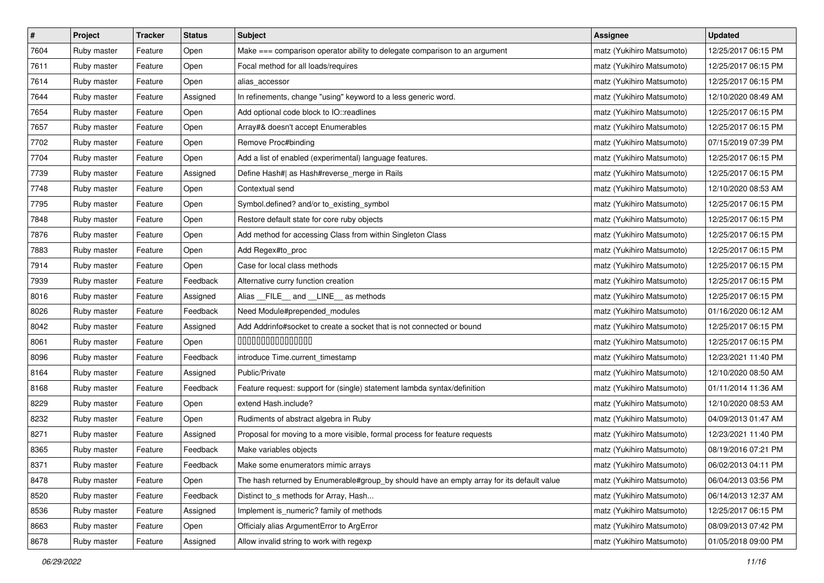| $\pmb{\#}$ | Project     | <b>Tracker</b> | <b>Status</b> | Subject                                                                                   | <b>Assignee</b>           | <b>Updated</b>      |
|------------|-------------|----------------|---------------|-------------------------------------------------------------------------------------------|---------------------------|---------------------|
| 7604       | Ruby master | Feature        | Open          | Make === comparison operator ability to delegate comparison to an argument                | matz (Yukihiro Matsumoto) | 12/25/2017 06:15 PM |
| 7611       | Ruby master | Feature        | Open          | Focal method for all loads/requires                                                       | matz (Yukihiro Matsumoto) | 12/25/2017 06:15 PM |
| 7614       | Ruby master | Feature        | Open          | alias_accessor                                                                            | matz (Yukihiro Matsumoto) | 12/25/2017 06:15 PM |
| 7644       | Ruby master | Feature        | Assigned      | In refinements, change "using" keyword to a less generic word.                            | matz (Yukihiro Matsumoto) | 12/10/2020 08:49 AM |
| 7654       | Ruby master | Feature        | Open          | Add optional code block to IO::readlines                                                  | matz (Yukihiro Matsumoto) | 12/25/2017 06:15 PM |
| 7657       | Ruby master | Feature        | Open          | Array#& doesn't accept Enumerables                                                        | matz (Yukihiro Matsumoto) | 12/25/2017 06:15 PM |
| 7702       | Ruby master | Feature        | Open          | Remove Proc#binding                                                                       | matz (Yukihiro Matsumoto) | 07/15/2019 07:39 PM |
| 7704       | Ruby master | Feature        | Open          | Add a list of enabled (experimental) language features.                                   | matz (Yukihiro Matsumoto) | 12/25/2017 06:15 PM |
| 7739       | Ruby master | Feature        | Assigned      | Define Hash#  as Hash#reverse_merge in Rails                                              | matz (Yukihiro Matsumoto) | 12/25/2017 06:15 PM |
| 7748       | Ruby master | Feature        | Open          | Contextual send                                                                           | matz (Yukihiro Matsumoto) | 12/10/2020 08:53 AM |
| 7795       | Ruby master | Feature        | Open          | Symbol.defined? and/or to_existing_symbol                                                 | matz (Yukihiro Matsumoto) | 12/25/2017 06:15 PM |
| 7848       | Ruby master | Feature        | Open          | Restore default state for core ruby objects                                               | matz (Yukihiro Matsumoto) | 12/25/2017 06:15 PM |
| 7876       | Ruby master | Feature        | Open          | Add method for accessing Class from within Singleton Class                                | matz (Yukihiro Matsumoto) | 12/25/2017 06:15 PM |
| 7883       | Ruby master | Feature        | Open          | Add Regex#to_proc                                                                         | matz (Yukihiro Matsumoto) | 12/25/2017 06:15 PM |
| 7914       | Ruby master | Feature        | Open          | Case for local class methods                                                              | matz (Yukihiro Matsumoto) | 12/25/2017 06:15 PM |
| 7939       | Ruby master | Feature        | Feedback      | Alternative curry function creation                                                       | matz (Yukihiro Matsumoto) | 12/25/2017 06:15 PM |
| 8016       | Ruby master | Feature        | Assigned      | Alias FILE and LINE as methods                                                            | matz (Yukihiro Matsumoto) | 12/25/2017 06:15 PM |
| 8026       | Ruby master | Feature        | Feedback      | Need Module#prepended_modules                                                             | matz (Yukihiro Matsumoto) | 01/16/2020 06:12 AM |
| 8042       | Ruby master | Feature        | Assigned      | Add Addrinfo#socket to create a socket that is not connected or bound                     | matz (Yukihiro Matsumoto) | 12/25/2017 06:15 PM |
| 8061       | Ruby master | Feature        | Open          | 000000000000000                                                                           | matz (Yukihiro Matsumoto) | 12/25/2017 06:15 PM |
| 8096       | Ruby master | Feature        | Feedback      | introduce Time.current_timestamp                                                          | matz (Yukihiro Matsumoto) | 12/23/2021 11:40 PM |
| 8164       | Ruby master | Feature        | Assigned      | Public/Private                                                                            | matz (Yukihiro Matsumoto) | 12/10/2020 08:50 AM |
| 8168       | Ruby master | Feature        | Feedback      | Feature request: support for (single) statement lambda syntax/definition                  | matz (Yukihiro Matsumoto) | 01/11/2014 11:36 AM |
| 8229       | Ruby master | Feature        | Open          | extend Hash.include?                                                                      | matz (Yukihiro Matsumoto) | 12/10/2020 08:53 AM |
| 8232       | Ruby master | Feature        | Open          | Rudiments of abstract algebra in Ruby                                                     | matz (Yukihiro Matsumoto) | 04/09/2013 01:47 AM |
| 8271       | Ruby master | Feature        | Assigned      | Proposal for moving to a more visible, formal process for feature requests                | matz (Yukihiro Matsumoto) | 12/23/2021 11:40 PM |
| 8365       | Ruby master | Feature        | Feedback      | Make variables objects                                                                    | matz (Yukihiro Matsumoto) | 08/19/2016 07:21 PM |
| 8371       | Ruby master | Feature        | Feedback      | Make some enumerators mimic arrays                                                        | matz (Yukihiro Matsumoto) | 06/02/2013 04:11 PM |
| 8478       | Ruby master | Feature        | Open          | The hash returned by Enumerable#group by should have an empty array for its default value | matz (Yukihiro Matsumoto) | 06/04/2013 03:56 PM |
| 8520       | Ruby master | Feature        | Feedback      | Distinct to_s methods for Array, Hash                                                     | matz (Yukihiro Matsumoto) | 06/14/2013 12:37 AM |
| 8536       | Ruby master | Feature        | Assigned      | Implement is_numeric? family of methods                                                   | matz (Yukihiro Matsumoto) | 12/25/2017 06:15 PM |
| 8663       | Ruby master | Feature        | Open          | Officialy alias ArgumentError to ArgError                                                 | matz (Yukihiro Matsumoto) | 08/09/2013 07:42 PM |
| 8678       | Ruby master | Feature        | Assigned      | Allow invalid string to work with regexp                                                  | matz (Yukihiro Matsumoto) | 01/05/2018 09:00 PM |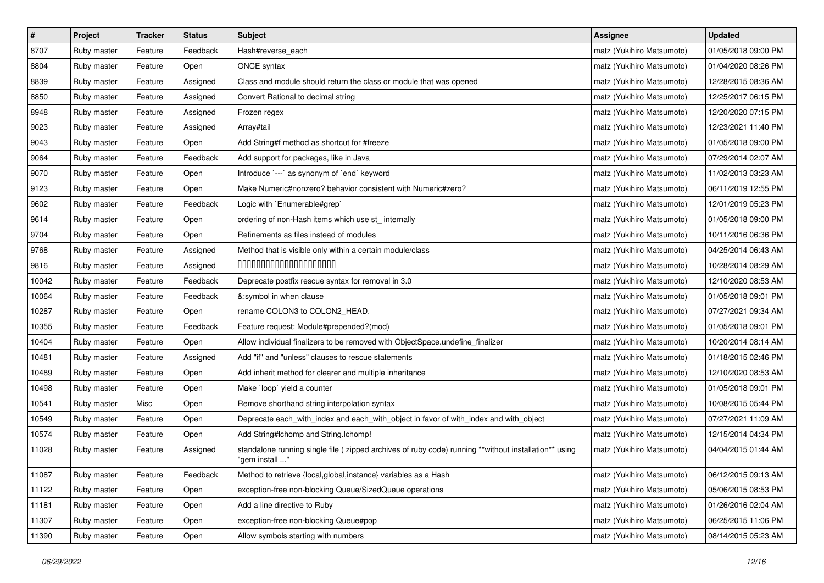| $\vert$ # | Project     | <b>Tracker</b> | <b>Status</b> | <b>Subject</b>                                                                                                          | Assignee                  | <b>Updated</b>      |
|-----------|-------------|----------------|---------------|-------------------------------------------------------------------------------------------------------------------------|---------------------------|---------------------|
| 8707      | Ruby master | Feature        | Feedback      | Hash#reverse_each                                                                                                       | matz (Yukihiro Matsumoto) | 01/05/2018 09:00 PM |
| 8804      | Ruby master | Feature        | Open          | ONCE syntax                                                                                                             | matz (Yukihiro Matsumoto) | 01/04/2020 08:26 PM |
| 8839      | Ruby master | Feature        | Assigned      | Class and module should return the class or module that was opened                                                      | matz (Yukihiro Matsumoto) | 12/28/2015 08:36 AM |
| 8850      | Ruby master | Feature        | Assigned      | Convert Rational to decimal string                                                                                      | matz (Yukihiro Matsumoto) | 12/25/2017 06:15 PM |
| 8948      | Ruby master | Feature        | Assigned      | Frozen regex                                                                                                            | matz (Yukihiro Matsumoto) | 12/20/2020 07:15 PM |
| 9023      | Ruby master | Feature        | Assigned      | Array#tail                                                                                                              | matz (Yukihiro Matsumoto) | 12/23/2021 11:40 PM |
| 9043      | Ruby master | Feature        | Open          | Add String#f method as shortcut for #freeze                                                                             | matz (Yukihiro Matsumoto) | 01/05/2018 09:00 PM |
| 9064      | Ruby master | Feature        | Feedback      | Add support for packages, like in Java                                                                                  | matz (Yukihiro Matsumoto) | 07/29/2014 02:07 AM |
| 9070      | Ruby master | Feature        | Open          | Introduce `---` as synonym of `end` keyword                                                                             | matz (Yukihiro Matsumoto) | 11/02/2013 03:23 AM |
| 9123      | Ruby master | Feature        | Open          | Make Numeric#nonzero? behavior consistent with Numeric#zero?                                                            | matz (Yukihiro Matsumoto) | 06/11/2019 12:55 PM |
| 9602      | Ruby master | Feature        | Feedback      | Logic with `Enumerable#grep`                                                                                            | matz (Yukihiro Matsumoto) | 12/01/2019 05:23 PM |
| 9614      | Ruby master | Feature        | Open          | ordering of non-Hash items which use st_ internally                                                                     | matz (Yukihiro Matsumoto) | 01/05/2018 09:00 PM |
| 9704      | Ruby master | Feature        | Open          | Refinements as files instead of modules                                                                                 | matz (Yukihiro Matsumoto) | 10/11/2016 06:36 PM |
| 9768      | Ruby master | Feature        | Assigned      | Method that is visible only within a certain module/class                                                               | matz (Yukihiro Matsumoto) | 04/25/2014 06:43 AM |
| 9816      | Ruby master | Feature        | Assigned      | 00000000000000000000                                                                                                    | matz (Yukihiro Matsumoto) | 10/28/2014 08:29 AM |
| 10042     | Ruby master | Feature        | Feedback      | Deprecate postfix rescue syntax for removal in 3.0                                                                      | matz (Yukihiro Matsumoto) | 12/10/2020 08:53 AM |
| 10064     | Ruby master | Feature        | Feedback      | &:symbol in when clause                                                                                                 | matz (Yukihiro Matsumoto) | 01/05/2018 09:01 PM |
| 10287     | Ruby master | Feature        | Open          | rename COLON3 to COLON2_HEAD.                                                                                           | matz (Yukihiro Matsumoto) | 07/27/2021 09:34 AM |
| 10355     | Ruby master | Feature        | Feedback      | Feature request: Module#prepended?(mod)                                                                                 | matz (Yukihiro Matsumoto) | 01/05/2018 09:01 PM |
| 10404     | Ruby master | Feature        | Open          | Allow individual finalizers to be removed with ObjectSpace.undefine_finalizer                                           | matz (Yukihiro Matsumoto) | 10/20/2014 08:14 AM |
| 10481     | Ruby master | Feature        | Assigned      | Add "if" and "unless" clauses to rescue statements                                                                      | matz (Yukihiro Matsumoto) | 01/18/2015 02:46 PM |
| 10489     | Ruby master | Feature        | Open          | Add inherit method for clearer and multiple inheritance                                                                 | matz (Yukihiro Matsumoto) | 12/10/2020 08:53 AM |
| 10498     | Ruby master | Feature        | Open          | Make `loop` yield a counter                                                                                             | matz (Yukihiro Matsumoto) | 01/05/2018 09:01 PM |
| 10541     | Ruby master | Misc           | Open          | Remove shorthand string interpolation syntax                                                                            | matz (Yukihiro Matsumoto) | 10/08/2015 05:44 PM |
| 10549     | Ruby master | Feature        | Open          | Deprecate each_with_index and each_with_object in favor of with_index and with_object                                   | matz (Yukihiro Matsumoto) | 07/27/2021 11:09 AM |
| 10574     | Ruby master | Feature        | Open          | Add String#Ichomp and String.Ichomp!                                                                                    | matz (Yukihiro Matsumoto) | 12/15/2014 04:34 PM |
| 11028     | Ruby master | Feature        | Assigned      | standalone running single file ( zipped archives of ruby code) running **without installation** using<br>"gem install " | matz (Yukihiro Matsumoto) | 04/04/2015 01:44 AM |
| 11087     | Ruby master | Feature        | Feedback      | Method to retrieve {local, global, instance} variables as a Hash                                                        | matz (Yukihiro Matsumoto) | 06/12/2015 09:13 AM |
| 11122     | Ruby master | Feature        | Open          | exception-free non-blocking Queue/SizedQueue operations                                                                 | matz (Yukihiro Matsumoto) | 05/06/2015 08:53 PM |
| 11181     | Ruby master | Feature        | Open          | Add a line directive to Ruby                                                                                            | matz (Yukihiro Matsumoto) | 01/26/2016 02:04 AM |
| 11307     | Ruby master | Feature        | Open          | exception-free non-blocking Queue#pop                                                                                   | matz (Yukihiro Matsumoto) | 06/25/2015 11:06 PM |
| 11390     | Ruby master | Feature        | Open          | Allow symbols starting with numbers                                                                                     | matz (Yukihiro Matsumoto) | 08/14/2015 05:23 AM |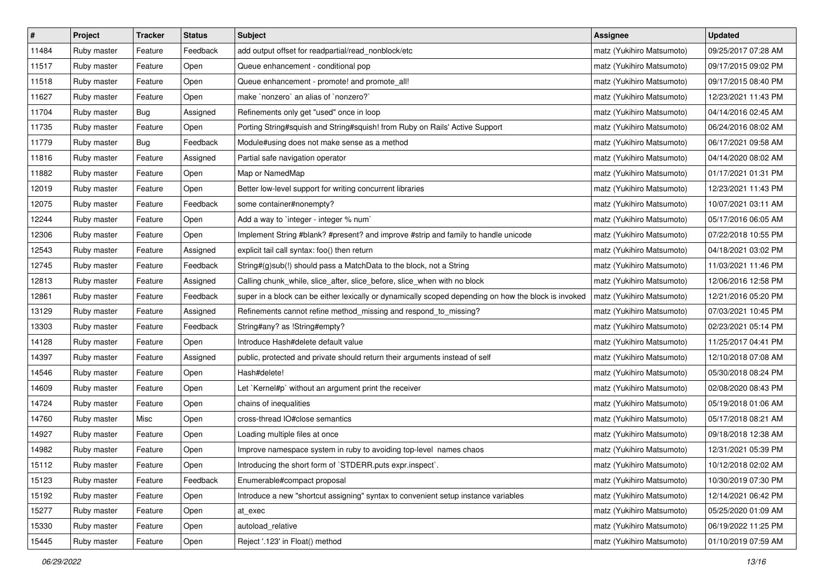| $\sharp$ | Project     | <b>Tracker</b> | <b>Status</b> | <b>Subject</b>                                                                                       | <b>Assignee</b>           | <b>Updated</b>      |
|----------|-------------|----------------|---------------|------------------------------------------------------------------------------------------------------|---------------------------|---------------------|
| 11484    | Ruby master | Feature        | Feedback      | add output offset for readpartial/read_nonblock/etc                                                  | matz (Yukihiro Matsumoto) | 09/25/2017 07:28 AM |
| 11517    | Ruby master | Feature        | Open          | Queue enhancement - conditional pop                                                                  | matz (Yukihiro Matsumoto) | 09/17/2015 09:02 PM |
| 11518    | Ruby master | Feature        | Open          | Queue enhancement - promote! and promote_all!                                                        | matz (Yukihiro Matsumoto) | 09/17/2015 08:40 PM |
| 11627    | Ruby master | Feature        | Open          | make `nonzero` an alias of `nonzero?`                                                                | matz (Yukihiro Matsumoto) | 12/23/2021 11:43 PM |
| 11704    | Ruby master | Bug            | Assigned      | Refinements only get "used" once in loop                                                             | matz (Yukihiro Matsumoto) | 04/14/2016 02:45 AM |
| 11735    | Ruby master | Feature        | Open          | Porting String#squish and String#squish! from Ruby on Rails' Active Support                          | matz (Yukihiro Matsumoto) | 06/24/2016 08:02 AM |
| 11779    | Ruby master | <b>Bug</b>     | Feedback      | Module#using does not make sense as a method                                                         | matz (Yukihiro Matsumoto) | 06/17/2021 09:58 AM |
| 11816    | Ruby master | Feature        | Assigned      | Partial safe navigation operator                                                                     | matz (Yukihiro Matsumoto) | 04/14/2020 08:02 AM |
| 11882    | Ruby master | Feature        | Open          | Map or NamedMap                                                                                      | matz (Yukihiro Matsumoto) | 01/17/2021 01:31 PM |
| 12019    | Ruby master | Feature        | Open          | Better low-level support for writing concurrent libraries                                            | matz (Yukihiro Matsumoto) | 12/23/2021 11:43 PM |
| 12075    | Ruby master | Feature        | Feedback      | some container#nonempty?                                                                             | matz (Yukihiro Matsumoto) | 10/07/2021 03:11 AM |
| 12244    | Ruby master | Feature        | Open          | Add a way to `integer - integer % num`                                                               | matz (Yukihiro Matsumoto) | 05/17/2016 06:05 AM |
| 12306    | Ruby master | Feature        | Open          | Implement String #blank? #present? and improve #strip and family to handle unicode                   | matz (Yukihiro Matsumoto) | 07/22/2018 10:55 PM |
| 12543    | Ruby master | Feature        | Assigned      | explicit tail call syntax: foo() then return                                                         | matz (Yukihiro Matsumoto) | 04/18/2021 03:02 PM |
| 12745    | Ruby master | Feature        | Feedback      | String#(g)sub(!) should pass a MatchData to the block, not a String                                  | matz (Yukihiro Matsumoto) | 11/03/2021 11:46 PM |
| 12813    | Ruby master | Feature        | Assigned      | Calling chunk_while, slice_after, slice_before, slice_when with no block                             | matz (Yukihiro Matsumoto) | 12/06/2016 12:58 PM |
| 12861    | Ruby master | Feature        | Feedback      | super in a block can be either lexically or dynamically scoped depending on how the block is invoked | matz (Yukihiro Matsumoto) | 12/21/2016 05:20 PM |
| 13129    | Ruby master | Feature        | Assigned      | Refinements cannot refine method_missing and respond_to_missing?                                     | matz (Yukihiro Matsumoto) | 07/03/2021 10:45 PM |
| 13303    | Ruby master | Feature        | Feedback      | String#any? as !String#empty?                                                                        | matz (Yukihiro Matsumoto) | 02/23/2021 05:14 PM |
| 14128    | Ruby master | Feature        | Open          | Introduce Hash#delete default value                                                                  | matz (Yukihiro Matsumoto) | 11/25/2017 04:41 PM |
| 14397    | Ruby master | Feature        | Assigned      | public, protected and private should return their arguments instead of self                          | matz (Yukihiro Matsumoto) | 12/10/2018 07:08 AM |
| 14546    | Ruby master | Feature        | Open          | Hash#delete!                                                                                         | matz (Yukihiro Matsumoto) | 05/30/2018 08:24 PM |
| 14609    | Ruby master | Feature        | Open          | Let `Kernel#p` without an argument print the receiver                                                | matz (Yukihiro Matsumoto) | 02/08/2020 08:43 PM |
| 14724    | Ruby master | Feature        | Open          | chains of inequalities                                                                               | matz (Yukihiro Matsumoto) | 05/19/2018 01:06 AM |
| 14760    | Ruby master | Misc           | Open          | cross-thread IO#close semantics                                                                      | matz (Yukihiro Matsumoto) | 05/17/2018 08:21 AM |
| 14927    | Ruby master | Feature        | Open          | Loading multiple files at once                                                                       | matz (Yukihiro Matsumoto) | 09/18/2018 12:38 AM |
| 14982    | Ruby master | Feature        | Open          | Improve namespace system in ruby to avoiding top-level names chaos                                   | matz (Yukihiro Matsumoto) | 12/31/2021 05:39 PM |
| 15112    | Ruby master | Feature        | Open          | Introducing the short form of `STDERR.puts expr.inspect`.                                            | matz (Yukihiro Matsumoto) | 10/12/2018 02:02 AM |
| 15123    | Ruby master | Feature        | Feedback      | Enumerable#compact proposal                                                                          | matz (Yukihiro Matsumoto) | 10/30/2019 07:30 PM |
| 15192    | Ruby master | Feature        | Open          | Introduce a new "shortcut assigning" syntax to convenient setup instance variables                   | matz (Yukihiro Matsumoto) | 12/14/2021 06:42 PM |
| 15277    | Ruby master | Feature        | Open          | at exec                                                                                              | matz (Yukihiro Matsumoto) | 05/25/2020 01:09 AM |
| 15330    | Ruby master | Feature        | Open          | autoload_relative                                                                                    | matz (Yukihiro Matsumoto) | 06/19/2022 11:25 PM |
| 15445    | Ruby master | Feature        | Open          | Reject '.123' in Float() method                                                                      | matz (Yukihiro Matsumoto) | 01/10/2019 07:59 AM |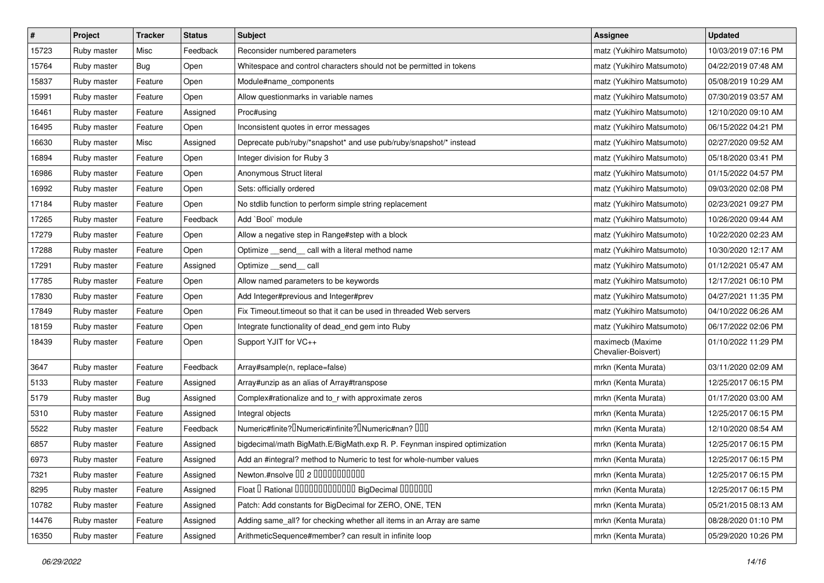| $\sharp$ | Project     | <b>Tracker</b> | <b>Status</b> | Subject                                                                                    | <b>Assignee</b>                         | <b>Updated</b>      |
|----------|-------------|----------------|---------------|--------------------------------------------------------------------------------------------|-----------------------------------------|---------------------|
| 15723    | Ruby master | Misc           | Feedback      | Reconsider numbered parameters                                                             | matz (Yukihiro Matsumoto)               | 10/03/2019 07:16 PM |
| 15764    | Ruby master | <b>Bug</b>     | Open          | Whitespace and control characters should not be permitted in tokens                        | matz (Yukihiro Matsumoto)               | 04/22/2019 07:48 AM |
| 15837    | Ruby master | Feature        | Open          | Module#name components                                                                     | matz (Yukihiro Matsumoto)               | 05/08/2019 10:29 AM |
| 15991    | Ruby master | Feature        | Open          | Allow questionmarks in variable names                                                      | matz (Yukihiro Matsumoto)               | 07/30/2019 03:57 AM |
| 16461    | Ruby master | Feature        | Assigned      | Proc#using                                                                                 | matz (Yukihiro Matsumoto)               | 12/10/2020 09:10 AM |
| 16495    | Ruby master | Feature        | Open          | Inconsistent quotes in error messages                                                      | matz (Yukihiro Matsumoto)               | 06/15/2022 04:21 PM |
| 16630    | Ruby master | Misc           | Assigned      | Deprecate pub/ruby/*snapshot* and use pub/ruby/snapshot/* instead                          | matz (Yukihiro Matsumoto)               | 02/27/2020 09:52 AM |
| 16894    | Ruby master | Feature        | Open          | Integer division for Ruby 3                                                                | matz (Yukihiro Matsumoto)               | 05/18/2020 03:41 PM |
| 16986    | Ruby master | Feature        | Open          | Anonymous Struct literal                                                                   | matz (Yukihiro Matsumoto)               | 01/15/2022 04:57 PM |
| 16992    | Ruby master | Feature        | Open          | Sets: officially ordered                                                                   | matz (Yukihiro Matsumoto)               | 09/03/2020 02:08 PM |
| 17184    | Ruby master | Feature        | Open          | No stdlib function to perform simple string replacement                                    | matz (Yukihiro Matsumoto)               | 02/23/2021 09:27 PM |
| 17265    | Ruby master | Feature        | Feedback      | Add `Bool` module                                                                          | matz (Yukihiro Matsumoto)               | 10/26/2020 09:44 AM |
| 17279    | Ruby master | Feature        | Open          | Allow a negative step in Range#step with a block                                           | matz (Yukihiro Matsumoto)               | 10/22/2020 02:23 AM |
| 17288    | Ruby master | Feature        | Open          | Optimize _send_ call with a literal method name                                            | matz (Yukihiro Matsumoto)               | 10/30/2020 12:17 AM |
| 17291    | Ruby master | Feature        | Assigned      | Optimize send call                                                                         | matz (Yukihiro Matsumoto)               | 01/12/2021 05:47 AM |
| 17785    | Ruby master | Feature        | Open          | Allow named parameters to be keywords                                                      | matz (Yukihiro Matsumoto)               | 12/17/2021 06:10 PM |
| 17830    | Ruby master | Feature        | Open          | Add Integer#previous and Integer#prev                                                      | matz (Yukihiro Matsumoto)               | 04/27/2021 11:35 PM |
| 17849    | Ruby master | Feature        | Open          | Fix Timeout.timeout so that it can be used in threaded Web servers                         | matz (Yukihiro Matsumoto)               | 04/10/2022 06:26 AM |
| 18159    | Ruby master | Feature        | Open          | Integrate functionality of dead_end gem into Ruby                                          | matz (Yukihiro Matsumoto)               | 06/17/2022 02:06 PM |
| 18439    | Ruby master | Feature        | Open          | Support YJIT for VC++                                                                      | maximecb (Maxime<br>Chevalier-Boisvert) | 01/10/2022 11:29 PM |
| 3647     | Ruby master | Feature        | Feedback      | Array#sample(n, replace=false)                                                             | mrkn (Kenta Murata)                     | 03/11/2020 02:09 AM |
| 5133     | Ruby master | Feature        | Assigned      | Array#unzip as an alias of Array#transpose                                                 | mrkn (Kenta Murata)                     | 12/25/2017 06:15 PM |
| 5179     | Ruby master | <b>Bug</b>     | Assigned      | Complex#rationalize and to_r with approximate zeros                                        | mrkn (Kenta Murata)                     | 01/17/2020 03:00 AM |
| 5310     | Ruby master | Feature        | Assigned      | Integral objects                                                                           | mrkn (Kenta Murata)                     | 12/25/2017 06:15 PM |
| 5522     | Ruby master | Feature        | Feedback      | Numeric#finite? <sup>[]</sup> Numeric#infinite? <sup>[]</sup> Numeric#nan? <sup>[10]</sup> | mrkn (Kenta Murata)                     | 12/10/2020 08:54 AM |
| 6857     | Ruby master | Feature        | Assigned      | bigdecimal/math BigMath.E/BigMath.exp R. P. Feynman inspired optimization                  | mrkn (Kenta Murata)                     | 12/25/2017 06:15 PM |
| 6973     | Ruby master | Feature        | Assigned      | Add an #integral? method to Numeric to test for whole-number values                        | mrkn (Kenta Murata)                     | 12/25/2017 06:15 PM |
| 7321     | Ruby master | Feature        | Assigned      | Newton.#nsolve 00 2 0000000000                                                             | mrkn (Kenta Murata)                     | 12/25/2017 06:15 PM |
| 8295     | Ruby master | Feature        | Assigned      | Float I Rational 0000000000000 BigDecimal 0000000                                          | mrkn (Kenta Murata)                     | 12/25/2017 06:15 PM |
| 10782    | Ruby master | Feature        | Assigned      | Patch: Add constants for BigDecimal for ZERO, ONE, TEN                                     | mrkn (Kenta Murata)                     | 05/21/2015 08:13 AM |
| 14476    | Ruby master | Feature        | Assigned      | Adding same_all? for checking whether all items in an Array are same                       | mrkn (Kenta Murata)                     | 08/28/2020 01:10 PM |
| 16350    | Ruby master | Feature        | Assigned      | ArithmeticSequence#member? can result in infinite loop                                     | mrkn (Kenta Murata)                     | 05/29/2020 10:26 PM |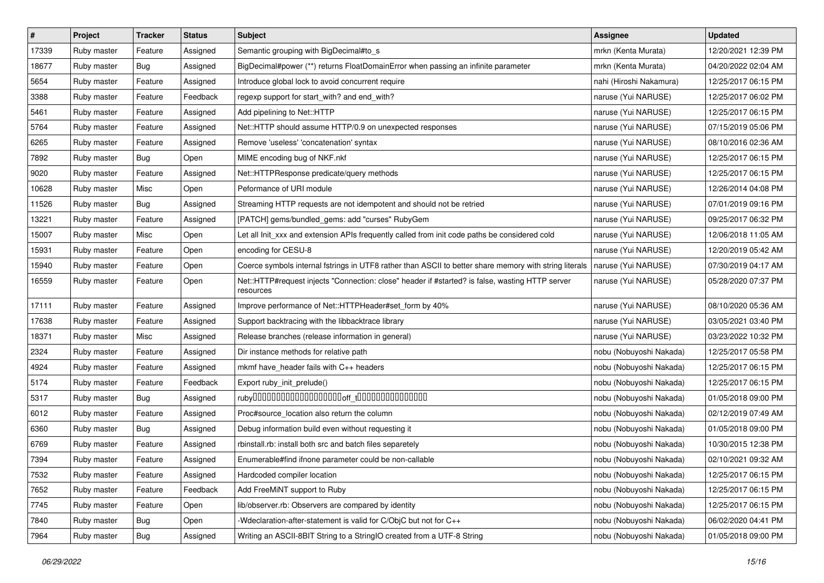| $\pmb{\#}$ | Project     | <b>Tracker</b> | <b>Status</b> | <b>Subject</b>                                                                                               | <b>Assignee</b>         | <b>Updated</b>      |
|------------|-------------|----------------|---------------|--------------------------------------------------------------------------------------------------------------|-------------------------|---------------------|
| 17339      | Ruby master | Feature        | Assigned      | Semantic grouping with BigDecimal#to_s                                                                       | mrkn (Kenta Murata)     | 12/20/2021 12:39 PM |
| 18677      | Ruby master | Bug            | Assigned      | BigDecimal#power (**) returns FloatDomainError when passing an infinite parameter                            | mrkn (Kenta Murata)     | 04/20/2022 02:04 AM |
| 5654       | Ruby master | Feature        | Assigned      | Introduce global lock to avoid concurrent require                                                            | nahi (Hiroshi Nakamura) | 12/25/2017 06:15 PM |
| 3388       | Ruby master | Feature        | Feedback      | regexp support for start_with? and end_with?                                                                 | naruse (Yui NARUSE)     | 12/25/2017 06:02 PM |
| 5461       | Ruby master | Feature        | Assigned      | Add pipelining to Net::HTTP                                                                                  | naruse (Yui NARUSE)     | 12/25/2017 06:15 PM |
| 5764       | Ruby master | Feature        | Assigned      | Net::HTTP should assume HTTP/0.9 on unexpected responses                                                     | naruse (Yui NARUSE)     | 07/15/2019 05:06 PM |
| 6265       | Ruby master | Feature        | Assigned      | Remove 'useless' 'concatenation' syntax                                                                      | naruse (Yui NARUSE)     | 08/10/2016 02:36 AM |
| 7892       | Ruby master | Bug            | Open          | MIME encoding bug of NKF.nkf                                                                                 | naruse (Yui NARUSE)     | 12/25/2017 06:15 PM |
| 9020       | Ruby master | Feature        | Assigned      | Net::HTTPResponse predicate/query methods                                                                    | naruse (Yui NARUSE)     | 12/25/2017 06:15 PM |
| 10628      | Ruby master | Misc           | Open          | Peformance of URI module                                                                                     | naruse (Yui NARUSE)     | 12/26/2014 04:08 PM |
| 11526      | Ruby master | Bug            | Assigned      | Streaming HTTP requests are not idempotent and should not be retried                                         | naruse (Yui NARUSE)     | 07/01/2019 09:16 PM |
| 13221      | Ruby master | Feature        | Assigned      | [PATCH] gems/bundled_gems: add "curses" RubyGem                                                              | naruse (Yui NARUSE)     | 09/25/2017 06:32 PM |
| 15007      | Ruby master | Misc           | Open          | Let all Init xxx and extension APIs frequently called from init code paths be considered cold                | naruse (Yui NARUSE)     | 12/06/2018 11:05 AM |
| 15931      | Ruby master | Feature        | Open          | encoding for CESU-8                                                                                          | naruse (Yui NARUSE)     | 12/20/2019 05:42 AM |
| 15940      | Ruby master | Feature        | Open          | Coerce symbols internal fstrings in UTF8 rather than ASCII to better share memory with string literals       | naruse (Yui NARUSE)     | 07/30/2019 04:17 AM |
| 16559      | Ruby master | Feature        | Open          | Net::HTTP#request injects "Connection: close" header if #started? is false, wasting HTTP server<br>resources | naruse (Yui NARUSE)     | 05/28/2020 07:37 PM |
| 17111      | Ruby master | Feature        | Assigned      | Improve performance of Net::HTTPHeader#set_form by 40%                                                       | naruse (Yui NARUSE)     | 08/10/2020 05:36 AM |
| 17638      | Ruby master | Feature        | Assigned      | Support backtracing with the libbacktrace library                                                            | naruse (Yui NARUSE)     | 03/05/2021 03:40 PM |
| 18371      | Ruby master | Misc           | Assigned      | Release branches (release information in general)                                                            | naruse (Yui NARUSE)     | 03/23/2022 10:32 PM |
| 2324       | Ruby master | Feature        | Assigned      | Dir instance methods for relative path                                                                       | nobu (Nobuyoshi Nakada) | 12/25/2017 05:58 PM |
| 4924       | Ruby master | Feature        | Assigned      | mkmf have_header fails with C++ headers                                                                      | nobu (Nobuyoshi Nakada) | 12/25/2017 06:15 PM |
| 5174       | Ruby master | Feature        | Feedback      | Export ruby_init_prelude()                                                                                   | nobu (Nobuyoshi Nakada) | 12/25/2017 06:15 PM |
| 5317       | Ruby master | <b>Bug</b>     | Assigned      |                                                                                                              | nobu (Nobuyoshi Nakada) | 01/05/2018 09:00 PM |
| 6012       | Ruby master | Feature        | Assigned      | Proc#source_location also return the column                                                                  | nobu (Nobuyoshi Nakada) | 02/12/2019 07:49 AM |
| 6360       | Ruby master | Bug            | Assigned      | Debug information build even without requesting it                                                           | nobu (Nobuyoshi Nakada) | 01/05/2018 09:00 PM |
| 6769       | Ruby master | Feature        | Assigned      | rbinstall.rb: install both src and batch files separetely                                                    | nobu (Nobuyoshi Nakada) | 10/30/2015 12:38 PM |
| 7394       | Ruby master | Feature        | Assigned      | Enumerable#find ifnone parameter could be non-callable                                                       | nobu (Nobuyoshi Nakada) | 02/10/2021 09:32 AM |
| 7532       | Ruby master | Feature        | Assigned      | Hardcoded compiler location                                                                                  | nobu (Nobuyoshi Nakada) | 12/25/2017 06:15 PM |
| 7652       | Ruby master | Feature        | Feedback      | Add FreeMiNT support to Ruby                                                                                 | nobu (Nobuyoshi Nakada) | 12/25/2017 06:15 PM |
| 7745       | Ruby master | Feature        | Open          | lib/observer.rb: Observers are compared by identity                                                          | nobu (Nobuyoshi Nakada) | 12/25/2017 06:15 PM |
| 7840       | Ruby master | <b>Bug</b>     | Open          | Wedclaration-after-statement is valid for C/ObjC but not for C++                                             | nobu (Nobuyoshi Nakada) | 06/02/2020 04:41 PM |
| 7964       | Ruby master | <b>Bug</b>     | Assigned      | Writing an ASCII-8BIT String to a StringIO created from a UTF-8 String                                       | nobu (Nobuyoshi Nakada) | 01/05/2018 09:00 PM |